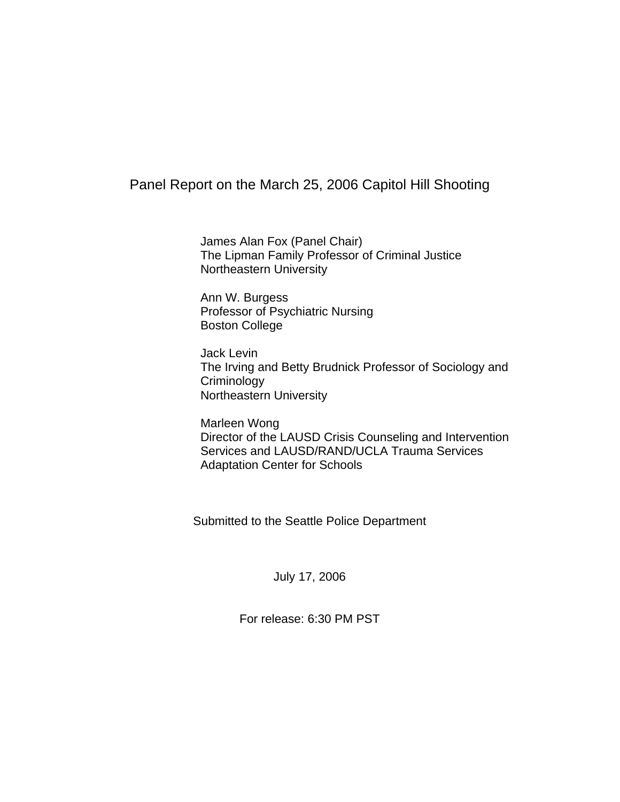# Panel Report on the March 25, 2006 Capitol Hill Shooting

 James Alan Fox (Panel Chair) The Lipman Family Professor of Criminal Justice Northeastern University

Ann W. Burgess Professor of Psychiatric Nursing Boston College

Jack Levin The Irving and Betty Brudnick Professor of Sociology and **Criminology** Northeastern University

Marleen Wong Director of the LAUSD Crisis Counseling and Intervention Services and LAUSD/RAND/UCLA Trauma Services Adaptation Center for Schools

Submitted to the Seattle Police Department

July 17, 2006

For release: 6:30 PM PST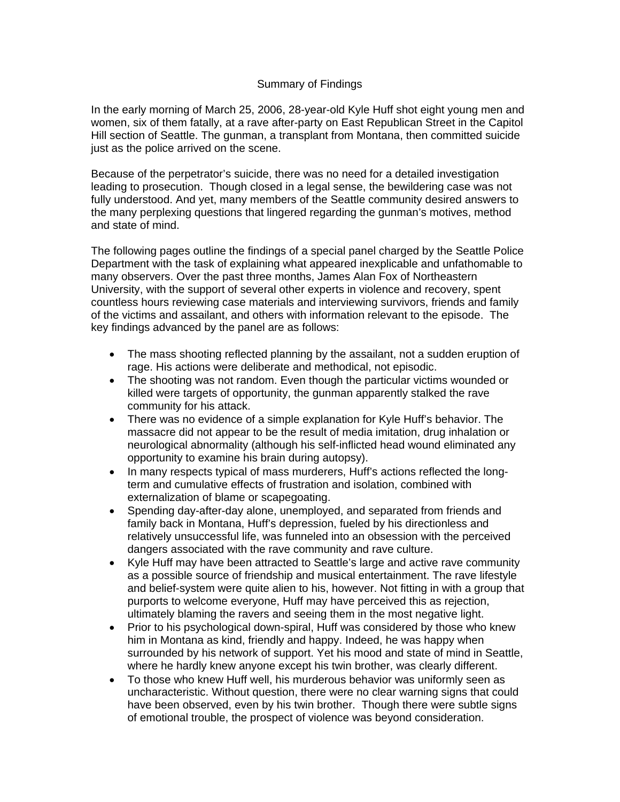### Summary of Findings

In the early morning of March 25, 2006, 28-year-old Kyle Huff shot eight young men and women, six of them fatally, at a rave after-party on East Republican Street in the Capitol Hill section of Seattle. The gunman, a transplant from Montana, then committed suicide just as the police arrived on the scene.

Because of the perpetrator's suicide, there was no need for a detailed investigation leading to prosecution. Though closed in a legal sense, the bewildering case was not fully understood. And yet, many members of the Seattle community desired answers to the many perplexing questions that lingered regarding the gunman's motives, method and state of mind.

The following pages outline the findings of a special panel charged by the Seattle Police Department with the task of explaining what appeared inexplicable and unfathomable to many observers. Over the past three months, James Alan Fox of Northeastern University, with the support of several other experts in violence and recovery, spent countless hours reviewing case materials and interviewing survivors, friends and family of the victims and assailant, and others with information relevant to the episode. The key findings advanced by the panel are as follows:

- The mass shooting reflected planning by the assailant, not a sudden eruption of rage. His actions were deliberate and methodical, not episodic.
- The shooting was not random. Even though the particular victims wounded or killed were targets of opportunity, the gunman apparently stalked the rave community for his attack.
- There was no evidence of a simple explanation for Kyle Huff's behavior. The massacre did not appear to be the result of media imitation, drug inhalation or neurological abnormality (although his self-inflicted head wound eliminated any opportunity to examine his brain during autopsy).
- In many respects typical of mass murderers, Huff's actions reflected the longterm and cumulative effects of frustration and isolation, combined with externalization of blame or scapegoating.
- Spending day-after-day alone, unemployed, and separated from friends and family back in Montana, Huff's depression, fueled by his directionless and relatively unsuccessful life, was funneled into an obsession with the perceived dangers associated with the rave community and rave culture.
- Kyle Huff may have been attracted to Seattle's large and active rave community as a possible source of friendship and musical entertainment. The rave lifestyle and belief-system were quite alien to his, however. Not fitting in with a group that purports to welcome everyone, Huff may have perceived this as rejection, ultimately blaming the ravers and seeing them in the most negative light.
- Prior to his psychological down-spiral, Huff was considered by those who knew him in Montana as kind, friendly and happy. Indeed, he was happy when surrounded by his network of support. Yet his mood and state of mind in Seattle, where he hardly knew anyone except his twin brother, was clearly different.
- To those who knew Huff well, his murderous behavior was uniformly seen as uncharacteristic. Without question, there were no clear warning signs that could have been observed, even by his twin brother. Though there were subtle signs of emotional trouble, the prospect of violence was beyond consideration.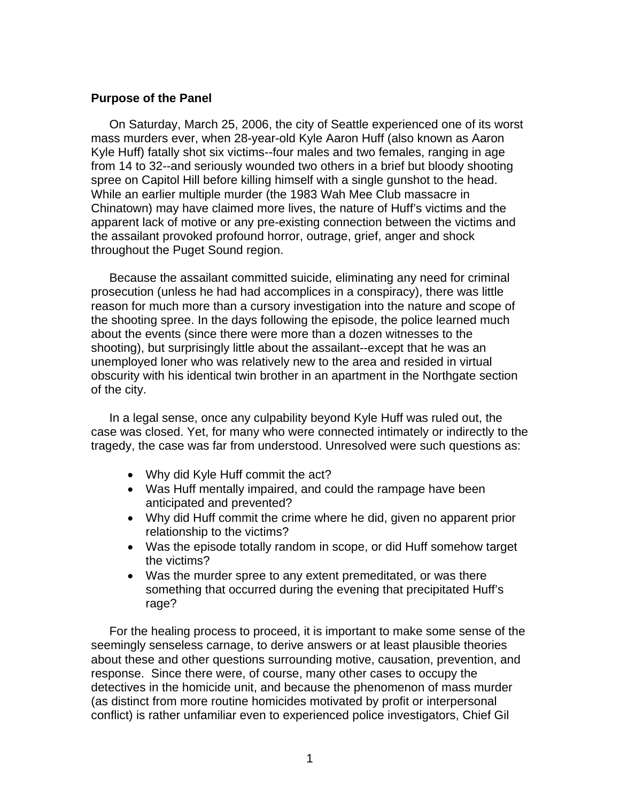### **Purpose of the Panel**

On Saturday, March 25, 2006, the city of Seattle experienced one of its worst mass murders ever, when 28-year-old Kyle Aaron Huff (also known as Aaron Kyle Huff) fatally shot six victims--four males and two females, ranging in age from 14 to 32--and seriously wounded two others in a brief but bloody shooting spree on Capitol Hill before killing himself with a single gunshot to the head. While an earlier multiple murder (the 1983 Wah Mee Club massacre in Chinatown) may have claimed more lives, the nature of Huff's victims and the apparent lack of motive or any pre-existing connection between the victims and the assailant provoked profound horror, outrage, grief, anger and shock throughout the Puget Sound region.

Because the assailant committed suicide, eliminating any need for criminal prosecution (unless he had had accomplices in a conspiracy), there was little reason for much more than a cursory investigation into the nature and scope of the shooting spree. In the days following the episode, the police learned much about the events (since there were more than a dozen witnesses to the shooting), but surprisingly little about the assailant--except that he was an unemployed loner who was relatively new to the area and resided in virtual obscurity with his identical twin brother in an apartment in the Northgate section of the city.

In a legal sense, once any culpability beyond Kyle Huff was ruled out, the case was closed. Yet, for many who were connected intimately or indirectly to the tragedy, the case was far from understood. Unresolved were such questions as:

- Why did Kyle Huff commit the act?
- Was Huff mentally impaired, and could the rampage have been anticipated and prevented?
- Why did Huff commit the crime where he did, given no apparent prior relationship to the victims?
- Was the episode totally random in scope, or did Huff somehow target the victims?
- Was the murder spree to any extent premeditated, or was there something that occurred during the evening that precipitated Huff's rage?

For the healing process to proceed, it is important to make some sense of the seemingly senseless carnage, to derive answers or at least plausible theories about these and other questions surrounding motive, causation, prevention, and response. Since there were, of course, many other cases to occupy the detectives in the homicide unit, and because the phenomenon of mass murder (as distinct from more routine homicides motivated by profit or interpersonal conflict) is rather unfamiliar even to experienced police investigators, Chief Gil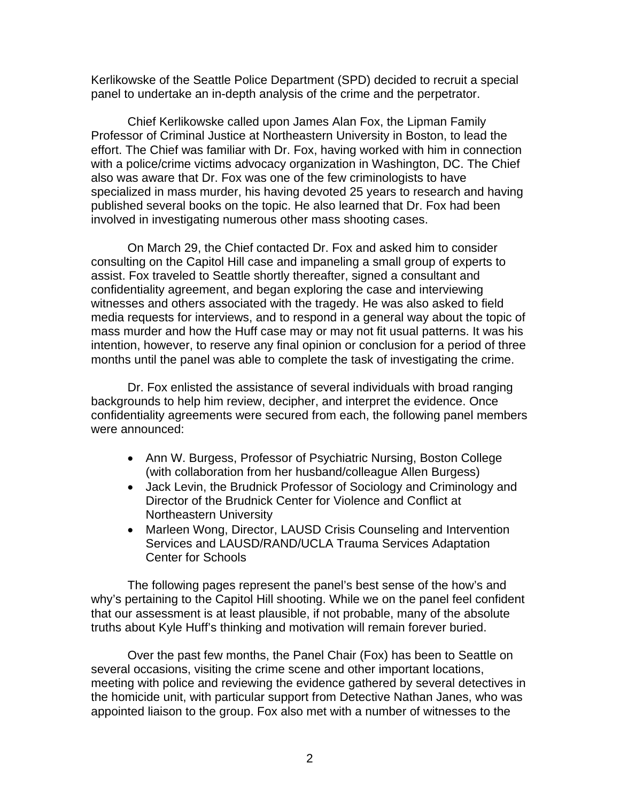Kerlikowske of the Seattle Police Department (SPD) decided to recruit a special panel to undertake an in-depth analysis of the crime and the perpetrator.

Chief Kerlikowske called upon James Alan Fox, the Lipman Family Professor of Criminal Justice at Northeastern University in Boston, to lead the effort. The Chief was familiar with Dr. Fox, having worked with him in connection with a police/crime victims advocacy organization in Washington, DC. The Chief also was aware that Dr. Fox was one of the few criminologists to have specialized in mass murder, his having devoted 25 years to research and having published several books on the topic. He also learned that Dr. Fox had been involved in investigating numerous other mass shooting cases.

 On March 29, the Chief contacted Dr. Fox and asked him to consider consulting on the Capitol Hill case and impaneling a small group of experts to assist. Fox traveled to Seattle shortly thereafter, signed a consultant and confidentiality agreement, and began exploring the case and interviewing witnesses and others associated with the tragedy. He was also asked to field media requests for interviews, and to respond in a general way about the topic of mass murder and how the Huff case may or may not fit usual patterns. It was his intention, however, to reserve any final opinion or conclusion for a period of three months until the panel was able to complete the task of investigating the crime.

 Dr. Fox enlisted the assistance of several individuals with broad ranging backgrounds to help him review, decipher, and interpret the evidence. Once confidentiality agreements were secured from each, the following panel members were announced:

- Ann W. Burgess, Professor of Psychiatric Nursing, Boston College (with collaboration from her husband/colleague Allen Burgess)
- Jack Levin, the Brudnick Professor of Sociology and Criminology and Director of the Brudnick Center for Violence and Conflict at Northeastern University
- Marleen Wong, Director, LAUSD Crisis Counseling and Intervention Services and LAUSD/RAND/UCLA Trauma Services Adaptation Center for Schools

The following pages represent the panel's best sense of the how's and why's pertaining to the Capitol Hill shooting. While we on the panel feel confident that our assessment is at least plausible, if not probable, many of the absolute truths about Kyle Huff's thinking and motivation will remain forever buried.

Over the past few months, the Panel Chair (Fox) has been to Seattle on several occasions, visiting the crime scene and other important locations, meeting with police and reviewing the evidence gathered by several detectives in the homicide unit, with particular support from Detective Nathan Janes, who was appointed liaison to the group. Fox also met with a number of witnesses to the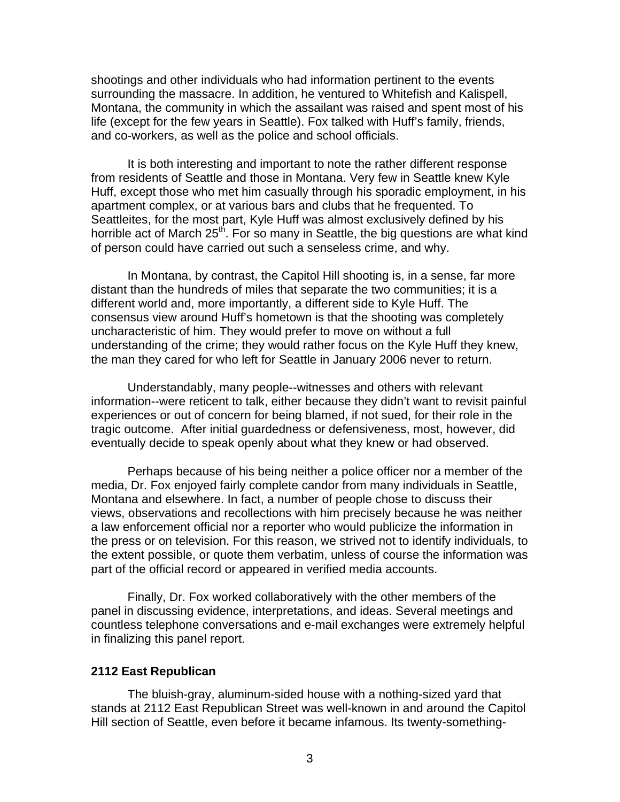shootings and other individuals who had information pertinent to the events surrounding the massacre. In addition, he ventured to Whitefish and Kalispell, Montana, the community in which the assailant was raised and spent most of his life (except for the few years in Seattle). Fox talked with Huff's family, friends, and co-workers, as well as the police and school officials.

It is both interesting and important to note the rather different response from residents of Seattle and those in Montana. Very few in Seattle knew Kyle Huff, except those who met him casually through his sporadic employment, in his apartment complex, or at various bars and clubs that he frequented. To Seattleites, for the most part, Kyle Huff was almost exclusively defined by his horrible act of March 25<sup>th</sup>. For so many in Seattle, the big questions are what kind of person could have carried out such a senseless crime, and why.

 In Montana, by contrast, the Capitol Hill shooting is, in a sense, far more distant than the hundreds of miles that separate the two communities; it is a different world and, more importantly, a different side to Kyle Huff. The consensus view around Huff's hometown is that the shooting was completely uncharacteristic of him. They would prefer to move on without a full understanding of the crime; they would rather focus on the Kyle Huff they knew, the man they cared for who left for Seattle in January 2006 never to return.

 Understandably, many people--witnesses and others with relevant information--were reticent to talk, either because they didn't want to revisit painful experiences or out of concern for being blamed, if not sued, for their role in the tragic outcome. After initial guardedness or defensiveness, most, however, did eventually decide to speak openly about what they knew or had observed.

 Perhaps because of his being neither a police officer nor a member of the media, Dr. Fox enjoyed fairly complete candor from many individuals in Seattle, Montana and elsewhere. In fact, a number of people chose to discuss their views, observations and recollections with him precisely because he was neither a law enforcement official nor a reporter who would publicize the information in the press or on television. For this reason, we strived not to identify individuals, to the extent possible, or quote them verbatim, unless of course the information was part of the official record or appeared in verified media accounts.

 Finally, Dr. Fox worked collaboratively with the other members of the panel in discussing evidence, interpretations, and ideas. Several meetings and countless telephone conversations and e-mail exchanges were extremely helpful in finalizing this panel report.

#### **2112 East Republican**

 The bluish-gray, aluminum-sided house with a nothing-sized yard that stands at 2112 East Republican Street was well-known in and around the Capitol Hill section of Seattle, even before it became infamous. Its twenty-something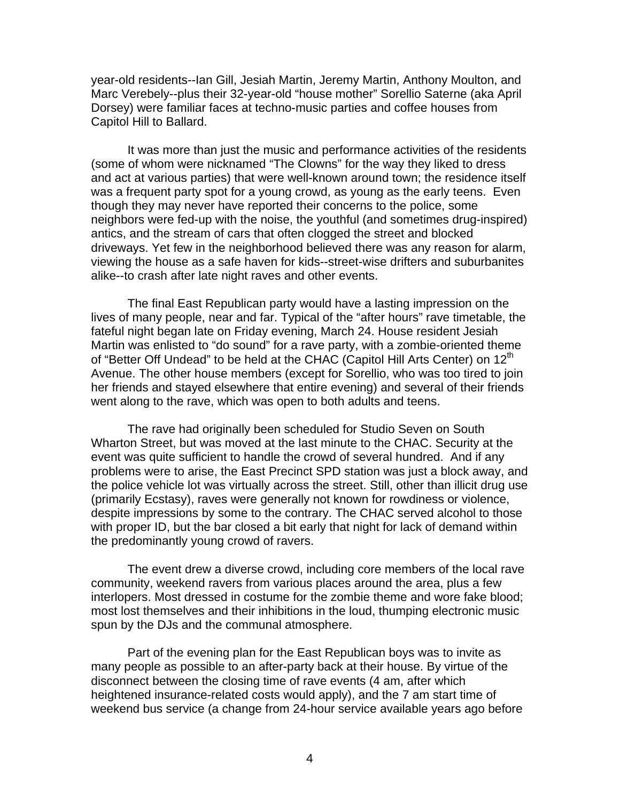year-old residents--Ian Gill, Jesiah Martin, Jeremy Martin, Anthony Moulton, and Marc Verebely--plus their 32-year-old "house mother" Sorellio Saterne (aka April Dorsey) were familiar faces at techno-music parties and coffee houses from Capitol Hill to Ballard.

 It was more than just the music and performance activities of the residents (some of whom were nicknamed "The Clowns" for the way they liked to dress and act at various parties) that were well-known around town; the residence itself was a frequent party spot for a young crowd, as young as the early teens. Even though they may never have reported their concerns to the police, some neighbors were fed-up with the noise, the youthful (and sometimes drug-inspired) antics, and the stream of cars that often clogged the street and blocked driveways. Yet few in the neighborhood believed there was any reason for alarm, viewing the house as a safe haven for kids--street-wise drifters and suburbanites alike--to crash after late night raves and other events.

 The final East Republican party would have a lasting impression on the lives of many people, near and far. Typical of the "after hours" rave timetable, the fateful night began late on Friday evening, March 24. House resident Jesiah Martin was enlisted to "do sound" for a rave party, with a zombie-oriented theme of "Better Off Undead" to be held at the CHAC (Capitol Hill Arts Center) on 12<sup>th</sup> Avenue. The other house members (except for Sorellio, who was too tired to join her friends and stayed elsewhere that entire evening) and several of their friends went along to the rave, which was open to both adults and teens.

 The rave had originally been scheduled for Studio Seven on South Wharton Street, but was moved at the last minute to the CHAC. Security at the event was quite sufficient to handle the crowd of several hundred. And if any problems were to arise, the East Precinct SPD station was just a block away, and the police vehicle lot was virtually across the street. Still, other than illicit drug use (primarily Ecstasy), raves were generally not known for rowdiness or violence, despite impressions by some to the contrary. The CHAC served alcohol to those with proper ID, but the bar closed a bit early that night for lack of demand within the predominantly young crowd of ravers.

 The event drew a diverse crowd, including core members of the local rave community, weekend ravers from various places around the area, plus a few interlopers. Most dressed in costume for the zombie theme and wore fake blood; most lost themselves and their inhibitions in the loud, thumping electronic music spun by the DJs and the communal atmosphere.

 Part of the evening plan for the East Republican boys was to invite as many people as possible to an after-party back at their house. By virtue of the disconnect between the closing time of rave events (4 am, after which heightened insurance-related costs would apply), and the 7 am start time of weekend bus service (a change from 24-hour service available years ago before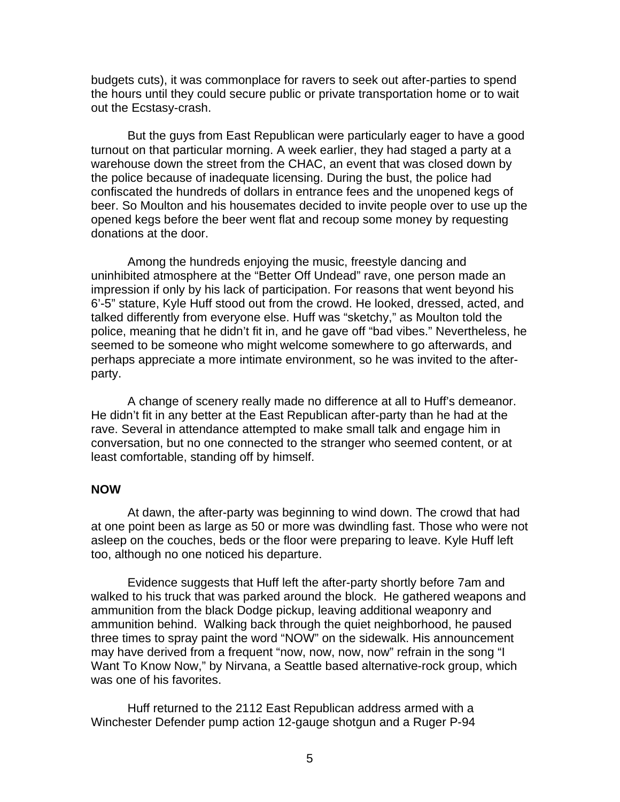budgets cuts), it was commonplace for ravers to seek out after-parties to spend the hours until they could secure public or private transportation home or to wait out the Ecstasy-crash.

 But the guys from East Republican were particularly eager to have a good turnout on that particular morning. A week earlier, they had staged a party at a warehouse down the street from the CHAC, an event that was closed down by the police because of inadequate licensing. During the bust, the police had confiscated the hundreds of dollars in entrance fees and the unopened kegs of beer. So Moulton and his housemates decided to invite people over to use up the opened kegs before the beer went flat and recoup some money by requesting donations at the door.

 Among the hundreds enjoying the music, freestyle dancing and uninhibited atmosphere at the "Better Off Undead" rave, one person made an impression if only by his lack of participation. For reasons that went beyond his 6'-5" stature, Kyle Huff stood out from the crowd. He looked, dressed, acted, and talked differently from everyone else. Huff was "sketchy," as Moulton told the police, meaning that he didn't fit in, and he gave off "bad vibes." Nevertheless, he seemed to be someone who might welcome somewhere to go afterwards, and perhaps appreciate a more intimate environment, so he was invited to the afterparty.

 A change of scenery really made no difference at all to Huff's demeanor. He didn't fit in any better at the East Republican after-party than he had at the rave. Several in attendance attempted to make small talk and engage him in conversation, but no one connected to the stranger who seemed content, or at least comfortable, standing off by himself.

### **NOW**

 At dawn, the after-party was beginning to wind down. The crowd that had at one point been as large as 50 or more was dwindling fast. Those who were not asleep on the couches, beds or the floor were preparing to leave. Kyle Huff left too, although no one noticed his departure.

 Evidence suggests that Huff left the after-party shortly before 7am and walked to his truck that was parked around the block. He gathered weapons and ammunition from the black Dodge pickup, leaving additional weaponry and ammunition behind. Walking back through the quiet neighborhood, he paused three times to spray paint the word "NOW" on the sidewalk. His announcement may have derived from a frequent "now, now, now, now" refrain in the song "I Want To Know Now," by Nirvana, a Seattle based alternative-rock group, which was one of his favorites.

 Huff returned to the 2112 East Republican address armed with a Winchester Defender pump action 12-gauge shotgun and a Ruger P-94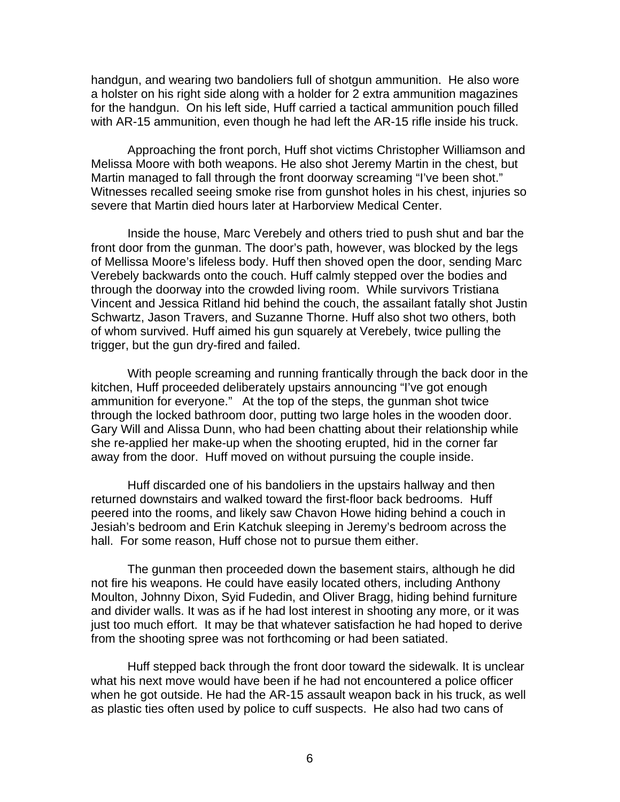handgun, and wearing two bandoliers full of shotgun ammunition. He also wore a holster on his right side along with a holder for 2 extra ammunition magazines for the handgun. On his left side, Huff carried a tactical ammunition pouch filled with AR-15 ammunition, even though he had left the AR-15 rifle inside his truck.

 Approaching the front porch, Huff shot victims Christopher Williamson and Melissa Moore with both weapons. He also shot Jeremy Martin in the chest, but Martin managed to fall through the front doorway screaming "I've been shot." Witnesses recalled seeing smoke rise from gunshot holes in his chest, injuries so severe that Martin died hours later at Harborview Medical Center.

 Inside the house, Marc Verebely and others tried to push shut and bar the front door from the gunman. The door's path, however, was blocked by the legs of Mellissa Moore's lifeless body. Huff then shoved open the door, sending Marc Verebely backwards onto the couch. Huff calmly stepped over the bodies and through the doorway into the crowded living room. While survivors Tristiana Vincent and Jessica Ritland hid behind the couch, the assailant fatally shot Justin Schwartz, Jason Travers, and Suzanne Thorne. Huff also shot two others, both of whom survived. Huff aimed his gun squarely at Verebely, twice pulling the trigger, but the gun dry-fired and failed.

 With people screaming and running frantically through the back door in the kitchen, Huff proceeded deliberately upstairs announcing "I've got enough ammunition for everyone." At the top of the steps, the gunman shot twice through the locked bathroom door, putting two large holes in the wooden door. Gary Will and Alissa Dunn, who had been chatting about their relationship while she re-applied her make-up when the shooting erupted, hid in the corner far away from the door. Huff moved on without pursuing the couple inside.

 Huff discarded one of his bandoliers in the upstairs hallway and then returned downstairs and walked toward the first-floor back bedrooms. Huff peered into the rooms, and likely saw Chavon Howe hiding behind a couch in Jesiah's bedroom and Erin Katchuk sleeping in Jeremy's bedroom across the hall. For some reason, Huff chose not to pursue them either.

 The gunman then proceeded down the basement stairs, although he did not fire his weapons. He could have easily located others, including Anthony Moulton, Johnny Dixon, Syid Fudedin, and Oliver Bragg, hiding behind furniture and divider walls. It was as if he had lost interest in shooting any more, or it was just too much effort. It may be that whatever satisfaction he had hoped to derive from the shooting spree was not forthcoming or had been satiated.

 Huff stepped back through the front door toward the sidewalk. It is unclear what his next move would have been if he had not encountered a police officer when he got outside. He had the AR-15 assault weapon back in his truck, as well as plastic ties often used by police to cuff suspects. He also had two cans of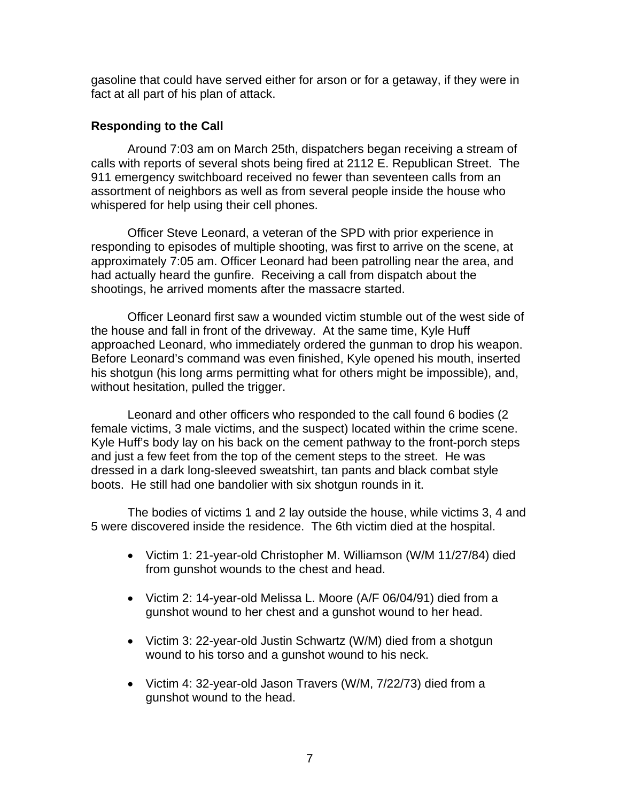gasoline that could have served either for arson or for a getaway, if they were in fact at all part of his plan of attack.

## **Responding to the Call**

Around 7:03 am on March 25th, dispatchers began receiving a stream of calls with reports of several shots being fired at 2112 E. Republican Street. The 911 emergency switchboard received no fewer than seventeen calls from an assortment of neighbors as well as from several people inside the house who whispered for help using their cell phones.

 Officer Steve Leonard, a veteran of the SPD with prior experience in responding to episodes of multiple shooting, was first to arrive on the scene, at approximately 7:05 am. Officer Leonard had been patrolling near the area, and had actually heard the gunfire. Receiving a call from dispatch about the shootings, he arrived moments after the massacre started.

 Officer Leonard first saw a wounded victim stumble out of the west side of the house and fall in front of the driveway. At the same time, Kyle Huff approached Leonard, who immediately ordered the gunman to drop his weapon. Before Leonard's command was even finished, Kyle opened his mouth, inserted his shotgun (his long arms permitting what for others might be impossible), and, without hesitation, pulled the trigger.

 Leonard and other officers who responded to the call found 6 bodies (2 female victims, 3 male victims, and the suspect) located within the crime scene. Kyle Huff's body lay on his back on the cement pathway to the front-porch steps and just a few feet from the top of the cement steps to the street. He was dressed in a dark long-sleeved sweatshirt, tan pants and black combat style boots. He still had one bandolier with six shotgun rounds in it.

 The bodies of victims 1 and 2 lay outside the house, while victims 3, 4 and 5 were discovered inside the residence. The 6th victim died at the hospital.

- Victim 1: 21-year-old Christopher M. Williamson (W/M 11/27/84) died from gunshot wounds to the chest and head.
- Victim 2: 14-year-old Melissa L. Moore (A/F 06/04/91) died from a gunshot wound to her chest and a gunshot wound to her head.
- Victim 3: 22-year-old Justin Schwartz (W/M) died from a shotgun wound to his torso and a gunshot wound to his neck.
- Victim 4: 32-year-old Jason Travers (W/M, 7/22/73) died from a gunshot wound to the head.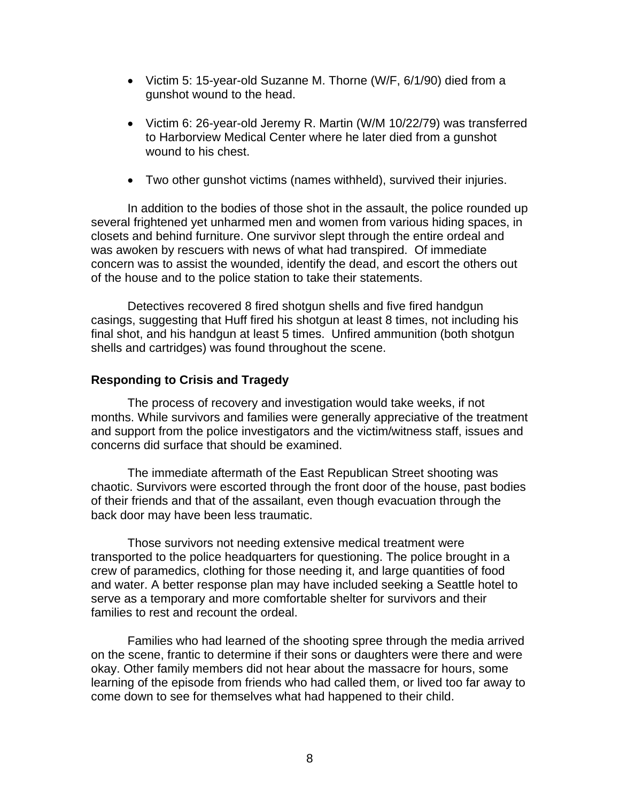- Victim 5: 15-year-old Suzanne M. Thorne (W/F, 6/1/90) died from a gunshot wound to the head.
- Victim 6: 26-year-old Jeremy R. Martin (W/M 10/22/79) was transferred to Harborview Medical Center where he later died from a gunshot wound to his chest.
- Two other gunshot victims (names withheld), survived their injuries.

 In addition to the bodies of those shot in the assault, the police rounded up several frightened yet unharmed men and women from various hiding spaces, in closets and behind furniture. One survivor slept through the entire ordeal and was awoken by rescuers with news of what had transpired. Of immediate concern was to assist the wounded, identify the dead, and escort the others out of the house and to the police station to take their statements.

 Detectives recovered 8 fired shotgun shells and five fired handgun casings, suggesting that Huff fired his shotgun at least 8 times, not including his final shot, and his handgun at least 5 times. Unfired ammunition (both shotgun shells and cartridges) was found throughout the scene.

## **Responding to Crisis and Tragedy**

 The process of recovery and investigation would take weeks, if not months. While survivors and families were generally appreciative of the treatment and support from the police investigators and the victim/witness staff, issues and concerns did surface that should be examined.

 The immediate aftermath of the East Republican Street shooting was chaotic. Survivors were escorted through the front door of the house, past bodies of their friends and that of the assailant, even though evacuation through the back door may have been less traumatic.

 Those survivors not needing extensive medical treatment were transported to the police headquarters for questioning. The police brought in a crew of paramedics, clothing for those needing it, and large quantities of food and water. A better response plan may have included seeking a Seattle hotel to serve as a temporary and more comfortable shelter for survivors and their families to rest and recount the ordeal.

 Families who had learned of the shooting spree through the media arrived on the scene, frantic to determine if their sons or daughters were there and were okay. Other family members did not hear about the massacre for hours, some learning of the episode from friends who had called them, or lived too far away to come down to see for themselves what had happened to their child.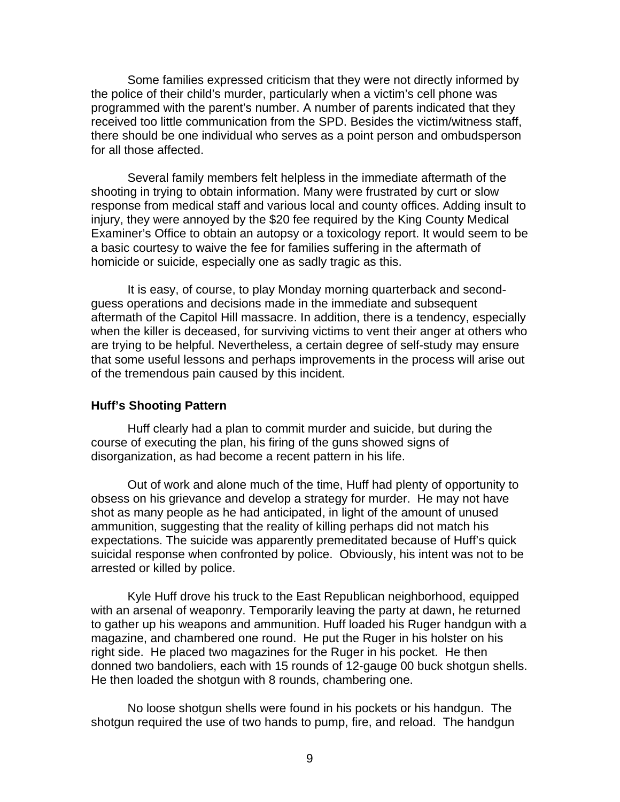Some families expressed criticism that they were not directly informed by the police of their child's murder, particularly when a victim's cell phone was programmed with the parent's number. A number of parents indicated that they received too little communication from the SPD. Besides the victim/witness staff, there should be one individual who serves as a point person and ombudsperson for all those affected.

 Several family members felt helpless in the immediate aftermath of the shooting in trying to obtain information. Many were frustrated by curt or slow response from medical staff and various local and county offices. Adding insult to injury, they were annoyed by the \$20 fee required by the King County Medical Examiner's Office to obtain an autopsy or a toxicology report. It would seem to be a basic courtesy to waive the fee for families suffering in the aftermath of homicide or suicide, especially one as sadly tragic as this.

 It is easy, of course, to play Monday morning quarterback and secondguess operations and decisions made in the immediate and subsequent aftermath of the Capitol Hill massacre. In addition, there is a tendency, especially when the killer is deceased, for surviving victims to vent their anger at others who are trying to be helpful. Nevertheless, a certain degree of self-study may ensure that some useful lessons and perhaps improvements in the process will arise out of the tremendous pain caused by this incident.

#### **Huff's Shooting Pattern**

 Huff clearly had a plan to commit murder and suicide, but during the course of executing the plan, his firing of the guns showed signs of disorganization, as had become a recent pattern in his life.

 Out of work and alone much of the time, Huff had plenty of opportunity to obsess on his grievance and develop a strategy for murder. He may not have shot as many people as he had anticipated, in light of the amount of unused ammunition, suggesting that the reality of killing perhaps did not match his expectations. The suicide was apparently premeditated because of Huff's quick suicidal response when confronted by police. Obviously, his intent was not to be arrested or killed by police.

Kyle Huff drove his truck to the East Republican neighborhood, equipped with an arsenal of weaponry. Temporarily leaving the party at dawn, he returned to gather up his weapons and ammunition. Huff loaded his Ruger handgun with a magazine, and chambered one round. He put the Ruger in his holster on his right side. He placed two magazines for the Ruger in his pocket. He then donned two bandoliers, each with 15 rounds of 12-gauge 00 buck shotgun shells. He then loaded the shotgun with 8 rounds, chambering one.

No loose shotgun shells were found in his pockets or his handgun. The shotgun required the use of two hands to pump, fire, and reload. The handgun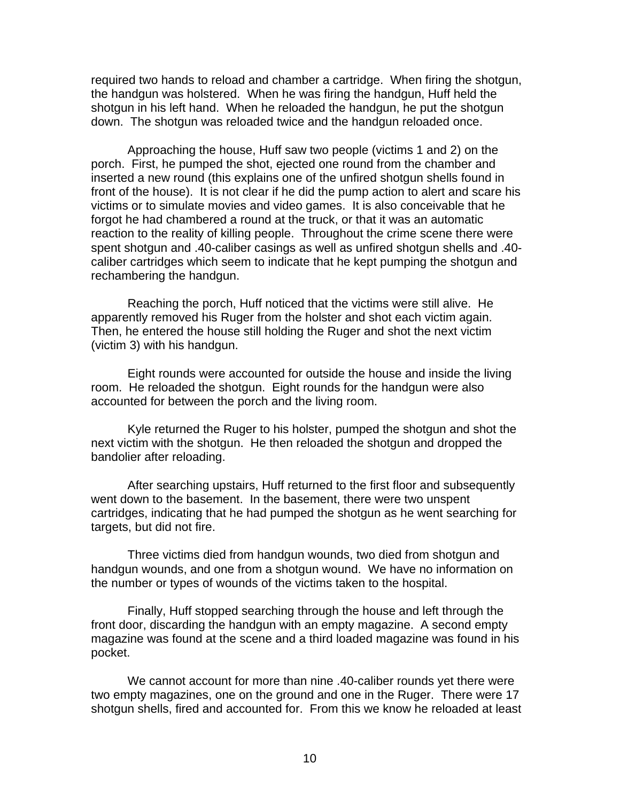required two hands to reload and chamber a cartridge. When firing the shotgun, the handgun was holstered. When he was firing the handgun, Huff held the shotgun in his left hand. When he reloaded the handgun, he put the shotgun down. The shotgun was reloaded twice and the handgun reloaded once.

Approaching the house, Huff saw two people (victims 1 and 2) on the porch. First, he pumped the shot, ejected one round from the chamber and inserted a new round (this explains one of the unfired shotgun shells found in front of the house). It is not clear if he did the pump action to alert and scare his victims or to simulate movies and video games. It is also conceivable that he forgot he had chambered a round at the truck, or that it was an automatic reaction to the reality of killing people. Throughout the crime scene there were spent shotgun and .40-caliber casings as well as unfired shotgun shells and .40 caliber cartridges which seem to indicate that he kept pumping the shotgun and rechambering the handgun.

Reaching the porch, Huff noticed that the victims were still alive. He apparently removed his Ruger from the holster and shot each victim again. Then, he entered the house still holding the Ruger and shot the next victim (victim 3) with his handgun.

Eight rounds were accounted for outside the house and inside the living room. He reloaded the shotgun. Eight rounds for the handgun were also accounted for between the porch and the living room.

Kyle returned the Ruger to his holster, pumped the shotgun and shot the next victim with the shotgun. He then reloaded the shotgun and dropped the bandolier after reloading.

After searching upstairs, Huff returned to the first floor and subsequently went down to the basement. In the basement, there were two unspent cartridges, indicating that he had pumped the shotgun as he went searching for targets, but did not fire.

Three victims died from handgun wounds, two died from shotgun and handgun wounds, and one from a shotgun wound. We have no information on the number or types of wounds of the victims taken to the hospital.

Finally, Huff stopped searching through the house and left through the front door, discarding the handgun with an empty magazine. A second empty magazine was found at the scene and a third loaded magazine was found in his pocket.

We cannot account for more than nine .40-caliber rounds yet there were two empty magazines, one on the ground and one in the Ruger. There were 17 shotgun shells, fired and accounted for. From this we know he reloaded at least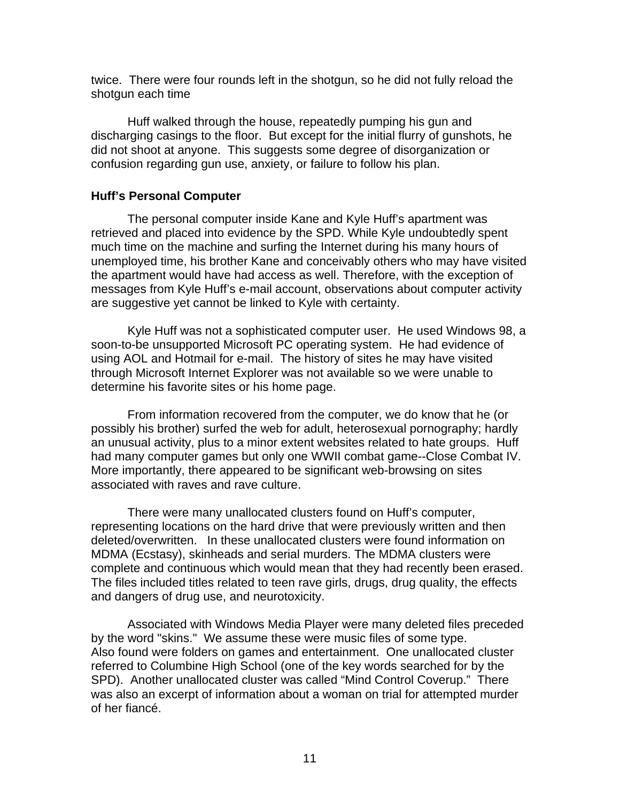twice. There were four rounds left in the shotgun, so he did not fully reload the shotgun each time

Huff walked through the house, repeatedly pumping his gun and discharging casings to the floor. But except for the initial flurry of gunshots, he did not shoot at anyone. This suggests some degree of disorganization or confusion regarding gun use, anxiety, or failure to follow his plan.

## **Huff's Personal Computer**

 The personal computer inside Kane and Kyle Huff's apartment was retrieved and placed into evidence by the SPD. While Kyle undoubtedly spent much time on the machine and surfing the Internet during his many hours of unemployed time, his brother Kane and conceivably others who may have visited the apartment would have had access as well. Therefore, with the exception of messages from Kyle Huff's e-mail account, observations about computer activity are suggestive yet cannot be linked to Kyle with certainty.

 Kyle Huff was not a sophisticated computer user. He used Windows 98, a soon-to-be unsupported Microsoft PC operating system. He had evidence of using AOL and Hotmail for e-mail. The history of sites he may have visited through Microsoft Internet Explorer was not available so we were unable to determine his favorite sites or his home page.

 From information recovered from the computer, we do know that he (or possibly his brother) surfed the web for adult, heterosexual pornography; hardly an unusual activity, plus to a minor extent websites related to hate groups. Huff had many computer games but only one WWII combat game--Close Combat IV. More importantly, there appeared to be significant web-browsing on sites associated with raves and rave culture.

 There were many unallocated clusters found on Huff's computer, representing locations on the hard drive that were previously written and then deleted/overwritten. In these unallocated clusters were found information on MDMA (Ecstasy), skinheads and serial murders. The MDMA clusters were complete and continuous which would mean that they had recently been erased. The files included titles related to teen rave girls, drugs, drug quality, the effects and dangers of drug use, and neurotoxicity.

 Associated with Windows Media Player were many deleted files preceded by the word "skins." We assume these were music files of some type. Also found were folders on games and entertainment. One unallocated cluster referred to Columbine High School (one of the key words searched for by the SPD). Another unallocated cluster was called "Mind Control Coverup." There was also an excerpt of information about a woman on trial for attempted murder of her fiancé.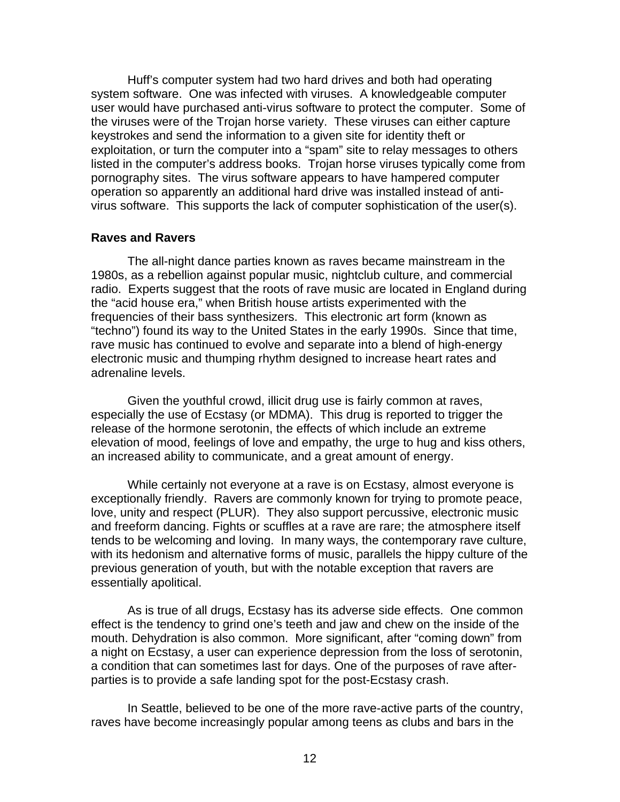Huff's computer system had two hard drives and both had operating system software. One was infected with viruses. A knowledgeable computer user would have purchased anti-virus software to protect the computer. Some of the viruses were of the Trojan horse variety. These viruses can either capture keystrokes and send the information to a given site for identity theft or exploitation, or turn the computer into a "spam" site to relay messages to others listed in the computer's address books. Trojan horse viruses typically come from pornography sites. The virus software appears to have hampered computer operation so apparently an additional hard drive was installed instead of antivirus software. This supports the lack of computer sophistication of the user(s).

#### **Raves and Ravers**

 The all-night dance parties known as raves became mainstream in the 1980s, as a rebellion against popular music, nightclub culture, and commercial radio. Experts suggest that the roots of rave music are located in England during the "acid house era," when British house artists experimented with the frequencies of their bass synthesizers. This electronic art form (known as "techno") found its way to the United States in the early 1990s. Since that time, rave music has continued to evolve and separate into a blend of high-energy electronic music and thumping rhythm designed to increase heart rates and adrenaline levels.

 Given the youthful crowd, illicit drug use is fairly common at raves, especially the use of Ecstasy (or MDMA). This drug is reported to trigger the release of the hormone serotonin, the effects of which include an extreme elevation of mood, feelings of love and empathy, the urge to hug and kiss others, an increased ability to communicate, and a great amount of energy.

 While certainly not everyone at a rave is on Ecstasy, almost everyone is exceptionally friendly. Ravers are commonly known for trying to promote peace, love, unity and respect (PLUR). They also support percussive, electronic music and freeform dancing. Fights or scuffles at a rave are rare; the atmosphere itself tends to be welcoming and loving. In many ways, the contemporary rave culture, with its hedonism and alternative forms of music, parallels the hippy culture of the previous generation of youth, but with the notable exception that ravers are essentially apolitical.

 As is true of all drugs, Ecstasy has its adverse side effects. One common effect is the tendency to grind one's teeth and jaw and chew on the inside of the mouth. Dehydration is also common. More significant, after "coming down" from a night on Ecstasy, a user can experience depression from the loss of serotonin, a condition that can sometimes last for days. One of the purposes of rave afterparties is to provide a safe landing spot for the post-Ecstasy crash.

 In Seattle, believed to be one of the more rave-active parts of the country, raves have become increasingly popular among teens as clubs and bars in the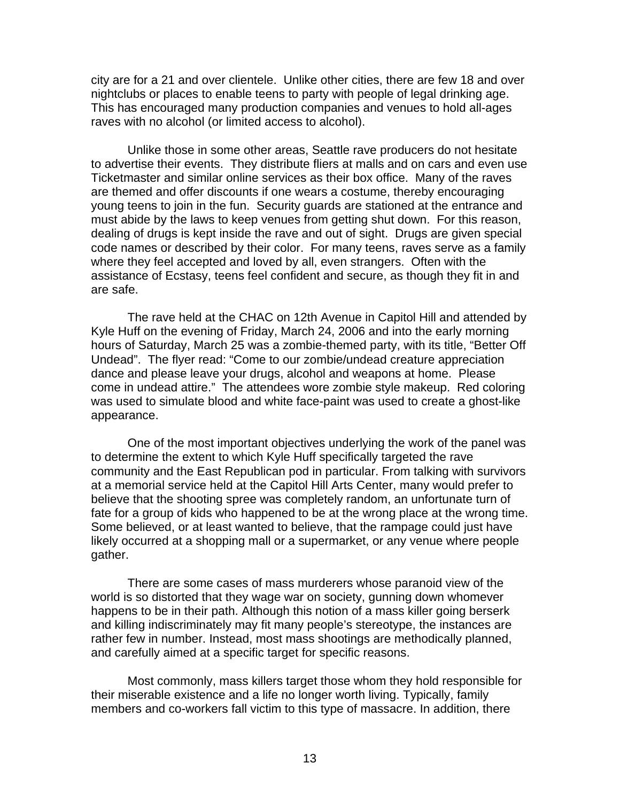city are for a 21 and over clientele. Unlike other cities, there are few 18 and over nightclubs or places to enable teens to party with people of legal drinking age. This has encouraged many production companies and venues to hold all-ages raves with no alcohol (or limited access to alcohol).

 Unlike those in some other areas, Seattle rave producers do not hesitate to advertise their events. They distribute fliers at malls and on cars and even use Ticketmaster and similar online services as their box office. Many of the raves are themed and offer discounts if one wears a costume, thereby encouraging young teens to join in the fun. Security guards are stationed at the entrance and must abide by the laws to keep venues from getting shut down. For this reason, dealing of drugs is kept inside the rave and out of sight. Drugs are given special code names or described by their color. For many teens, raves serve as a family where they feel accepted and loved by all, even strangers. Often with the assistance of Ecstasy, teens feel confident and secure, as though they fit in and are safe.

 The rave held at the CHAC on 12th Avenue in Capitol Hill and attended by Kyle Huff on the evening of Friday, March 24, 2006 and into the early morning hours of Saturday, March 25 was a zombie-themed party, with its title, "Better Off Undead". The flyer read: "Come to our zombie/undead creature appreciation dance and please leave your drugs, alcohol and weapons at home. Please come in undead attire." The attendees wore zombie style makeup. Red coloring was used to simulate blood and white face-paint was used to create a ghost-like appearance.

 One of the most important objectives underlying the work of the panel was to determine the extent to which Kyle Huff specifically targeted the rave community and the East Republican pod in particular. From talking with survivors at a memorial service held at the Capitol Hill Arts Center, many would prefer to believe that the shooting spree was completely random, an unfortunate turn of fate for a group of kids who happened to be at the wrong place at the wrong time. Some believed, or at least wanted to believe, that the rampage could just have likely occurred at a shopping mall or a supermarket, or any venue where people gather.

 There are some cases of mass murderers whose paranoid view of the world is so distorted that they wage war on society, gunning down whomever happens to be in their path. Although this notion of a mass killer going berserk and killing indiscriminately may fit many people's stereotype, the instances are rather few in number. Instead, most mass shootings are methodically planned, and carefully aimed at a specific target for specific reasons.

 Most commonly, mass killers target those whom they hold responsible for their miserable existence and a life no longer worth living. Typically, family members and co-workers fall victim to this type of massacre. In addition, there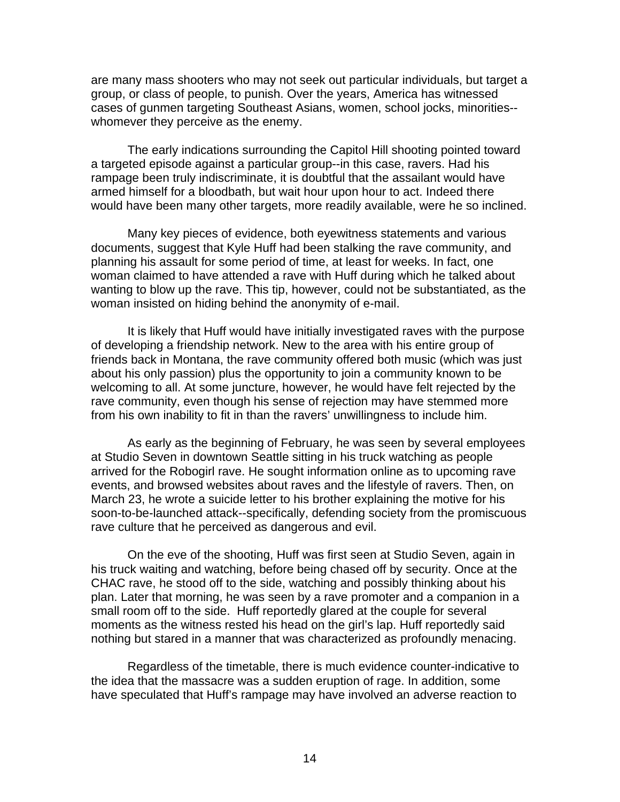are many mass shooters who may not seek out particular individuals, but target a group, or class of people, to punish. Over the years, America has witnessed cases of gunmen targeting Southeast Asians, women, school jocks, minorities- whomever they perceive as the enemy.

 The early indications surrounding the Capitol Hill shooting pointed toward a targeted episode against a particular group--in this case, ravers. Had his rampage been truly indiscriminate, it is doubtful that the assailant would have armed himself for a bloodbath, but wait hour upon hour to act. Indeed there would have been many other targets, more readily available, were he so inclined.

 Many key pieces of evidence, both eyewitness statements and various documents, suggest that Kyle Huff had been stalking the rave community, and planning his assault for some period of time, at least for weeks. In fact, one woman claimed to have attended a rave with Huff during which he talked about wanting to blow up the rave. This tip, however, could not be substantiated, as the woman insisted on hiding behind the anonymity of e-mail.

 It is likely that Huff would have initially investigated raves with the purpose of developing a friendship network. New to the area with his entire group of friends back in Montana, the rave community offered both music (which was just about his only passion) plus the opportunity to join a community known to be welcoming to all. At some juncture, however, he would have felt rejected by the rave community, even though his sense of rejection may have stemmed more from his own inability to fit in than the ravers' unwillingness to include him.

 As early as the beginning of February, he was seen by several employees at Studio Seven in downtown Seattle sitting in his truck watching as people arrived for the Robogirl rave. He sought information online as to upcoming rave events, and browsed websites about raves and the lifestyle of ravers. Then, on March 23, he wrote a suicide letter to his brother explaining the motive for his soon-to-be-launched attack--specifically, defending society from the promiscuous rave culture that he perceived as dangerous and evil.

 On the eve of the shooting, Huff was first seen at Studio Seven, again in his truck waiting and watching, before being chased off by security. Once at the CHAC rave, he stood off to the side, watching and possibly thinking about his plan. Later that morning, he was seen by a rave promoter and a companion in a small room off to the side. Huff reportedly glared at the couple for several moments as the witness rested his head on the girl's lap. Huff reportedly said nothing but stared in a manner that was characterized as profoundly menacing.

 Regardless of the timetable, there is much evidence counter-indicative to the idea that the massacre was a sudden eruption of rage. In addition, some have speculated that Huff's rampage may have involved an adverse reaction to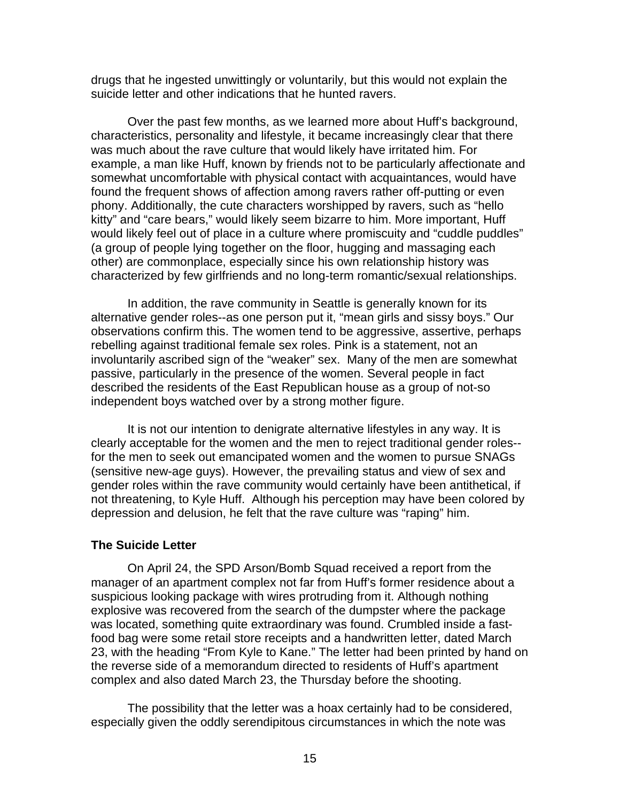drugs that he ingested unwittingly or voluntarily, but this would not explain the suicide letter and other indications that he hunted ravers.

 Over the past few months, as we learned more about Huff's background, characteristics, personality and lifestyle, it became increasingly clear that there was much about the rave culture that would likely have irritated him. For example, a man like Huff, known by friends not to be particularly affectionate and somewhat uncomfortable with physical contact with acquaintances, would have found the frequent shows of affection among ravers rather off-putting or even phony. Additionally, the cute characters worshipped by ravers, such as "hello kitty" and "care bears," would likely seem bizarre to him. More important, Huff would likely feel out of place in a culture where promiscuity and "cuddle puddles" (a group of people lying together on the floor, hugging and massaging each other) are commonplace, especially since his own relationship history was characterized by few girlfriends and no long-term romantic/sexual relationships.

 In addition, the rave community in Seattle is generally known for its alternative gender roles--as one person put it, "mean girls and sissy boys." Our observations confirm this. The women tend to be aggressive, assertive, perhaps rebelling against traditional female sex roles. Pink is a statement, not an involuntarily ascribed sign of the "weaker" sex. Many of the men are somewhat passive, particularly in the presence of the women. Several people in fact described the residents of the East Republican house as a group of not-so independent boys watched over by a strong mother figure.

 It is not our intention to denigrate alternative lifestyles in any way. It is clearly acceptable for the women and the men to reject traditional gender roles- for the men to seek out emancipated women and the women to pursue SNAGs (sensitive new-age guys). However, the prevailing status and view of sex and gender roles within the rave community would certainly have been antithetical, if not threatening, to Kyle Huff. Although his perception may have been colored by depression and delusion, he felt that the rave culture was "raping" him.

#### **The Suicide Letter**

 On April 24, the SPD Arson/Bomb Squad received a report from the manager of an apartment complex not far from Huff's former residence about a suspicious looking package with wires protruding from it. Although nothing explosive was recovered from the search of the dumpster where the package was located, something quite extraordinary was found. Crumbled inside a fastfood bag were some retail store receipts and a handwritten letter, dated March 23, with the heading "From Kyle to Kane." The letter had been printed by hand on the reverse side of a memorandum directed to residents of Huff's apartment complex and also dated March 23, the Thursday before the shooting.

 The possibility that the letter was a hoax certainly had to be considered, especially given the oddly serendipitous circumstances in which the note was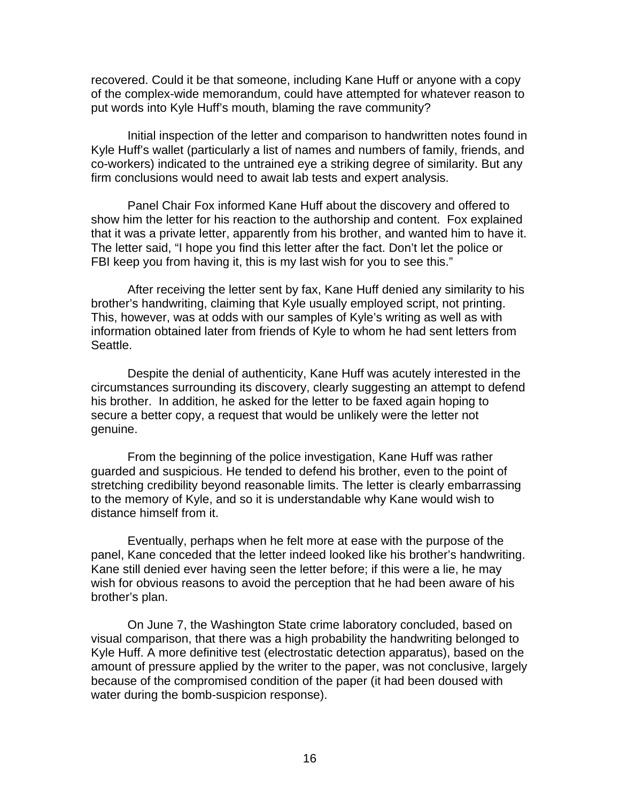recovered. Could it be that someone, including Kane Huff or anyone with a copy of the complex-wide memorandum, could have attempted for whatever reason to put words into Kyle Huff's mouth, blaming the rave community?

 Initial inspection of the letter and comparison to handwritten notes found in Kyle Huff's wallet (particularly a list of names and numbers of family, friends, and co-workers) indicated to the untrained eye a striking degree of similarity. But any firm conclusions would need to await lab tests and expert analysis.

 Panel Chair Fox informed Kane Huff about the discovery and offered to show him the letter for his reaction to the authorship and content. Fox explained that it was a private letter, apparently from his brother, and wanted him to have it. The letter said, "I hope you find this letter after the fact. Don't let the police or FBI keep you from having it, this is my last wish for you to see this."

 After receiving the letter sent by fax, Kane Huff denied any similarity to his brother's handwriting, claiming that Kyle usually employed script, not printing. This, however, was at odds with our samples of Kyle's writing as well as with information obtained later from friends of Kyle to whom he had sent letters from Seattle.

 Despite the denial of authenticity, Kane Huff was acutely interested in the circumstances surrounding its discovery, clearly suggesting an attempt to defend his brother. In addition, he asked for the letter to be faxed again hoping to secure a better copy, a request that would be unlikely were the letter not genuine.

 From the beginning of the police investigation, Kane Huff was rather guarded and suspicious. He tended to defend his brother, even to the point of stretching credibility beyond reasonable limits. The letter is clearly embarrassing to the memory of Kyle, and so it is understandable why Kane would wish to distance himself from it.

 Eventually, perhaps when he felt more at ease with the purpose of the panel, Kane conceded that the letter indeed looked like his brother's handwriting. Kane still denied ever having seen the letter before; if this were a lie, he may wish for obvious reasons to avoid the perception that he had been aware of his brother's plan.

 On June 7, the Washington State crime laboratory concluded, based on visual comparison, that there was a high probability the handwriting belonged to Kyle Huff. A more definitive test (electrostatic detection apparatus), based on the amount of pressure applied by the writer to the paper, was not conclusive, largely because of the compromised condition of the paper (it had been doused with water during the bomb-suspicion response).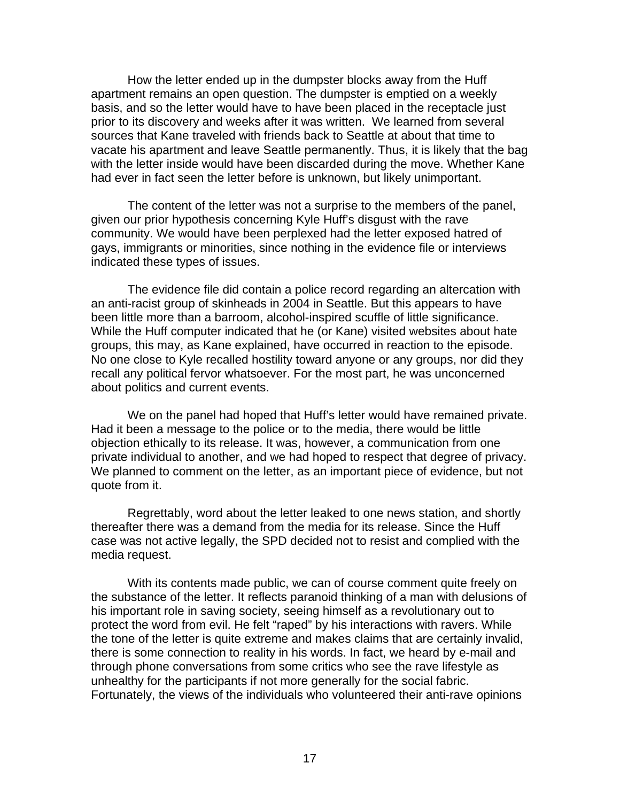How the letter ended up in the dumpster blocks away from the Huff apartment remains an open question. The dumpster is emptied on a weekly basis, and so the letter would have to have been placed in the receptacle just prior to its discovery and weeks after it was written. We learned from several sources that Kane traveled with friends back to Seattle at about that time to vacate his apartment and leave Seattle permanently. Thus, it is likely that the bag with the letter inside would have been discarded during the move. Whether Kane had ever in fact seen the letter before is unknown, but likely unimportant.

 The content of the letter was not a surprise to the members of the panel, given our prior hypothesis concerning Kyle Huff's disgust with the rave community. We would have been perplexed had the letter exposed hatred of gays, immigrants or minorities, since nothing in the evidence file or interviews indicated these types of issues.

 The evidence file did contain a police record regarding an altercation with an anti-racist group of skinheads in 2004 in Seattle. But this appears to have been little more than a barroom, alcohol-inspired scuffle of little significance. While the Huff computer indicated that he (or Kane) visited websites about hate groups, this may, as Kane explained, have occurred in reaction to the episode. No one close to Kyle recalled hostility toward anyone or any groups, nor did they recall any political fervor whatsoever. For the most part, he was unconcerned about politics and current events.

 We on the panel had hoped that Huff's letter would have remained private. Had it been a message to the police or to the media, there would be little objection ethically to its release. It was, however, a communication from one private individual to another, and we had hoped to respect that degree of privacy. We planned to comment on the letter, as an important piece of evidence, but not quote from it.

 Regrettably, word about the letter leaked to one news station, and shortly thereafter there was a demand from the media for its release. Since the Huff case was not active legally, the SPD decided not to resist and complied with the media request.

 With its contents made public, we can of course comment quite freely on the substance of the letter. It reflects paranoid thinking of a man with delusions of his important role in saving society, seeing himself as a revolutionary out to protect the word from evil. He felt "raped" by his interactions with ravers. While the tone of the letter is quite extreme and makes claims that are certainly invalid, there is some connection to reality in his words. In fact, we heard by e-mail and through phone conversations from some critics who see the rave lifestyle as unhealthy for the participants if not more generally for the social fabric. Fortunately, the views of the individuals who volunteered their anti-rave opinions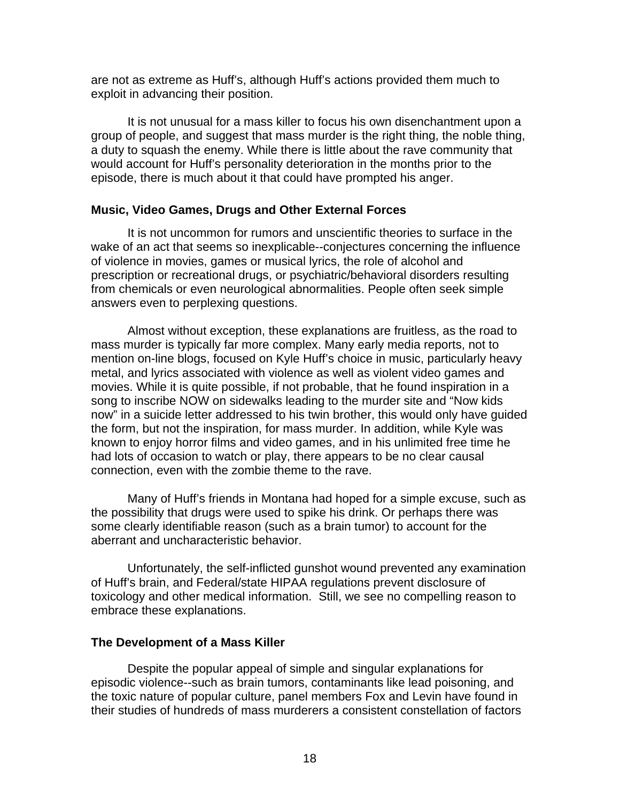are not as extreme as Huff's, although Huff's actions provided them much to exploit in advancing their position.

 It is not unusual for a mass killer to focus his own disenchantment upon a group of people, and suggest that mass murder is the right thing, the noble thing, a duty to squash the enemy. While there is little about the rave community that would account for Huff's personality deterioration in the months prior to the episode, there is much about it that could have prompted his anger.

### **Music, Video Games, Drugs and Other External Forces**

 It is not uncommon for rumors and unscientific theories to surface in the wake of an act that seems so inexplicable--conjectures concerning the influence of violence in movies, games or musical lyrics, the role of alcohol and prescription or recreational drugs, or psychiatric/behavioral disorders resulting from chemicals or even neurological abnormalities. People often seek simple answers even to perplexing questions.

 Almost without exception, these explanations are fruitless, as the road to mass murder is typically far more complex. Many early media reports, not to mention on-line blogs, focused on Kyle Huff's choice in music, particularly heavy metal, and lyrics associated with violence as well as violent video games and movies. While it is quite possible, if not probable, that he found inspiration in a song to inscribe NOW on sidewalks leading to the murder site and "Now kids now" in a suicide letter addressed to his twin brother, this would only have guided the form, but not the inspiration, for mass murder. In addition, while Kyle was known to enjoy horror films and video games, and in his unlimited free time he had lots of occasion to watch or play, there appears to be no clear causal connection, even with the zombie theme to the rave.

 Many of Huff's friends in Montana had hoped for a simple excuse, such as the possibility that drugs were used to spike his drink. Or perhaps there was some clearly identifiable reason (such as a brain tumor) to account for the aberrant and uncharacteristic behavior.

 Unfortunately, the self-inflicted gunshot wound prevented any examination of Huff's brain, and Federal/state HIPAA regulations prevent disclosure of toxicology and other medical information. Still, we see no compelling reason to embrace these explanations.

### **The Development of a Mass Killer**

Despite the popular appeal of simple and singular explanations for episodic violence--such as brain tumors, contaminants like lead poisoning, and the toxic nature of popular culture, panel members Fox and Levin have found in their studies of hundreds of mass murderers a consistent constellation of factors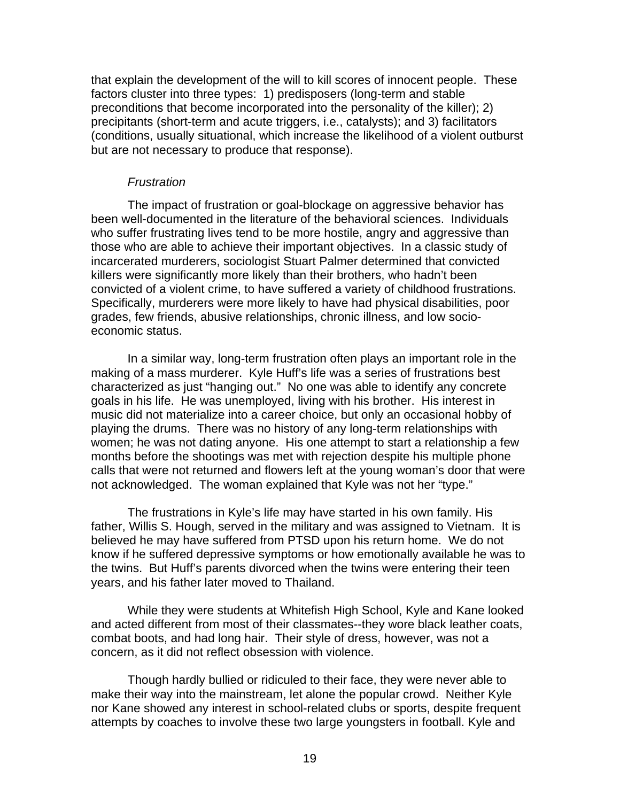that explain the development of the will to kill scores of innocent people. These factors cluster into three types: 1) predisposers (long-term and stable preconditions that become incorporated into the personality of the killer); 2) precipitants (short-term and acute triggers, i.e., catalysts); and 3) facilitators (conditions, usually situational, which increase the likelihood of a violent outburst but are not necessary to produce that response).

#### *Frustration*

 The impact of frustration or goal-blockage on aggressive behavior has been well-documented in the literature of the behavioral sciences. Individuals who suffer frustrating lives tend to be more hostile, angry and aggressive than those who are able to achieve their important objectives. In a classic study of incarcerated murderers, sociologist Stuart Palmer determined that convicted killers were significantly more likely than their brothers, who hadn't been convicted of a violent crime, to have suffered a variety of childhood frustrations. Specifically, murderers were more likely to have had physical disabilities, poor grades, few friends, abusive relationships, chronic illness, and low socioeconomic status.

 In a similar way, long-term frustration often plays an important role in the making of a mass murderer. Kyle Huff's life was a series of frustrations best characterized as just "hanging out." No one was able to identify any concrete goals in his life. He was unemployed, living with his brother. His interest in music did not materialize into a career choice, but only an occasional hobby of playing the drums. There was no history of any long-term relationships with women; he was not dating anyone. His one attempt to start a relationship a few months before the shootings was met with rejection despite his multiple phone calls that were not returned and flowers left at the young woman's door that were not acknowledged. The woman explained that Kyle was not her "type."

 The frustrations in Kyle's life may have started in his own family. His father, Willis S. Hough, served in the military and was assigned to Vietnam. It is believed he may have suffered from PTSD upon his return home. We do not know if he suffered depressive symptoms or how emotionally available he was to the twins. But Huff's parents divorced when the twins were entering their teen years, and his father later moved to Thailand.

 While they were students at Whitefish High School, Kyle and Kane looked and acted different from most of their classmates--they wore black leather coats, combat boots, and had long hair. Their style of dress, however, was not a concern, as it did not reflect obsession with violence.

Though hardly bullied or ridiculed to their face, they were never able to make their way into the mainstream, let alone the popular crowd. Neither Kyle nor Kane showed any interest in school-related clubs or sports, despite frequent attempts by coaches to involve these two large youngsters in football. Kyle and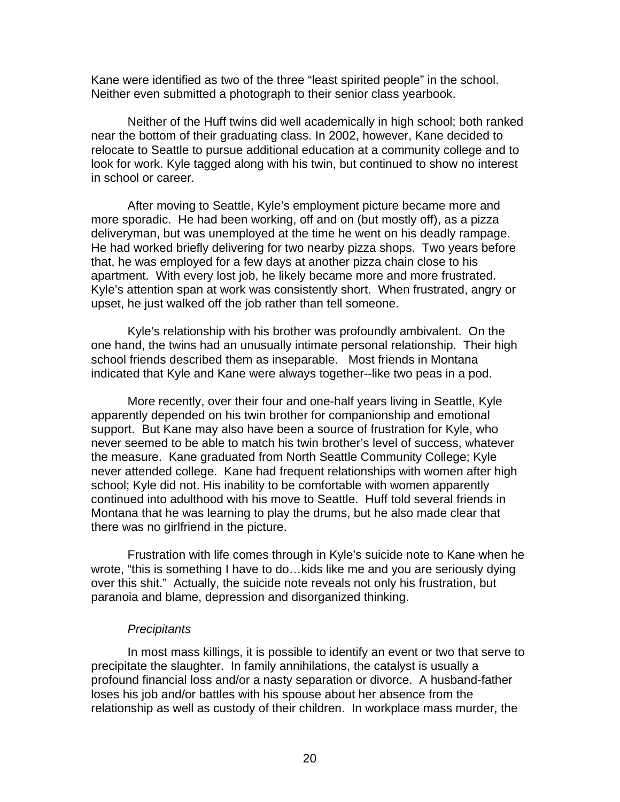Kane were identified as two of the three "least spirited people" in the school. Neither even submitted a photograph to their senior class yearbook.

 Neither of the Huff twins did well academically in high school; both ranked near the bottom of their graduating class. In 2002, however, Kane decided to relocate to Seattle to pursue additional education at a community college and to look for work. Kyle tagged along with his twin, but continued to show no interest in school or career.

 After moving to Seattle, Kyle's employment picture became more and more sporadic. He had been working, off and on (but mostly off), as a pizza deliveryman, but was unemployed at the time he went on his deadly rampage. He had worked briefly delivering for two nearby pizza shops. Two years before that, he was employed for a few days at another pizza chain close to his apartment. With every lost job, he likely became more and more frustrated. Kyle's attention span at work was consistently short. When frustrated, angry or upset, he just walked off the job rather than tell someone.

 Kyle's relationship with his brother was profoundly ambivalent. On the one hand, the twins had an unusually intimate personal relationship. Their high school friends described them as inseparable. Most friends in Montana indicated that Kyle and Kane were always together--like two peas in a pod.

 More recently, over their four and one-half years living in Seattle, Kyle apparently depended on his twin brother for companionship and emotional support. But Kane may also have been a source of frustration for Kyle, who never seemed to be able to match his twin brother's level of success, whatever the measure. Kane graduated from North Seattle Community College; Kyle never attended college. Kane had frequent relationships with women after high school; Kyle did not. His inability to be comfortable with women apparently continued into adulthood with his move to Seattle. Huff told several friends in Montana that he was learning to play the drums, but he also made clear that there was no girlfriend in the picture.

 Frustration with life comes through in Kyle's suicide note to Kane when he wrote, "this is something I have to do…kids like me and you are seriously dying over this shit." Actually, the suicide note reveals not only his frustration, but paranoia and blame, depression and disorganized thinking.

### *Precipitants*

 In most mass killings, it is possible to identify an event or two that serve to precipitate the slaughter. In family annihilations, the catalyst is usually a profound financial loss and/or a nasty separation or divorce. A husband-father loses his job and/or battles with his spouse about her absence from the relationship as well as custody of their children. In workplace mass murder, the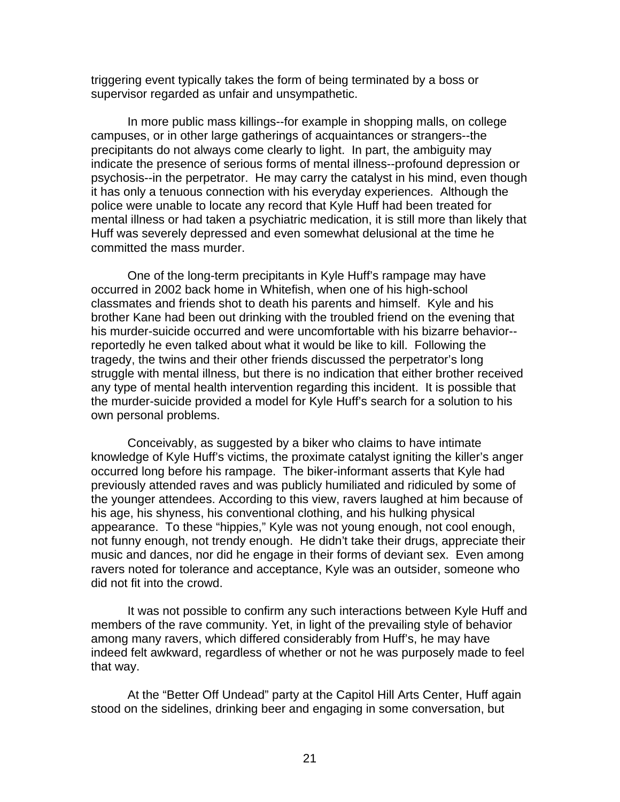triggering event typically takes the form of being terminated by a boss or supervisor regarded as unfair and unsympathetic.

 In more public mass killings--for example in shopping malls, on college campuses, or in other large gatherings of acquaintances or strangers--the precipitants do not always come clearly to light. In part, the ambiguity may indicate the presence of serious forms of mental illness--profound depression or psychosis--in the perpetrator. He may carry the catalyst in his mind, even though it has only a tenuous connection with his everyday experiences. Although the police were unable to locate any record that Kyle Huff had been treated for mental illness or had taken a psychiatric medication, it is still more than likely that Huff was severely depressed and even somewhat delusional at the time he committed the mass murder.

 One of the long-term precipitants in Kyle Huff's rampage may have occurred in 2002 back home in Whitefish, when one of his high-school classmates and friends shot to death his parents and himself. Kyle and his brother Kane had been out drinking with the troubled friend on the evening that his murder-suicide occurred and were uncomfortable with his bizarre behavior- reportedly he even talked about what it would be like to kill. Following the tragedy, the twins and their other friends discussed the perpetrator's long struggle with mental illness, but there is no indication that either brother received any type of mental health intervention regarding this incident. It is possible that the murder-suicide provided a model for Kyle Huff's search for a solution to his own personal problems.

 Conceivably, as suggested by a biker who claims to have intimate knowledge of Kyle Huff's victims, the proximate catalyst igniting the killer's anger occurred long before his rampage. The biker-informant asserts that Kyle had previously attended raves and was publicly humiliated and ridiculed by some of the younger attendees. According to this view, ravers laughed at him because of his age, his shyness, his conventional clothing, and his hulking physical appearance. To these "hippies," Kyle was not young enough, not cool enough, not funny enough, not trendy enough. He didn't take their drugs, appreciate their music and dances, nor did he engage in their forms of deviant sex. Even among ravers noted for tolerance and acceptance, Kyle was an outsider, someone who did not fit into the crowd.

 It was not possible to confirm any such interactions between Kyle Huff and members of the rave community. Yet, in light of the prevailing style of behavior among many ravers, which differed considerably from Huff's, he may have indeed felt awkward, regardless of whether or not he was purposely made to feel that way.

 At the "Better Off Undead" party at the Capitol Hill Arts Center, Huff again stood on the sidelines, drinking beer and engaging in some conversation, but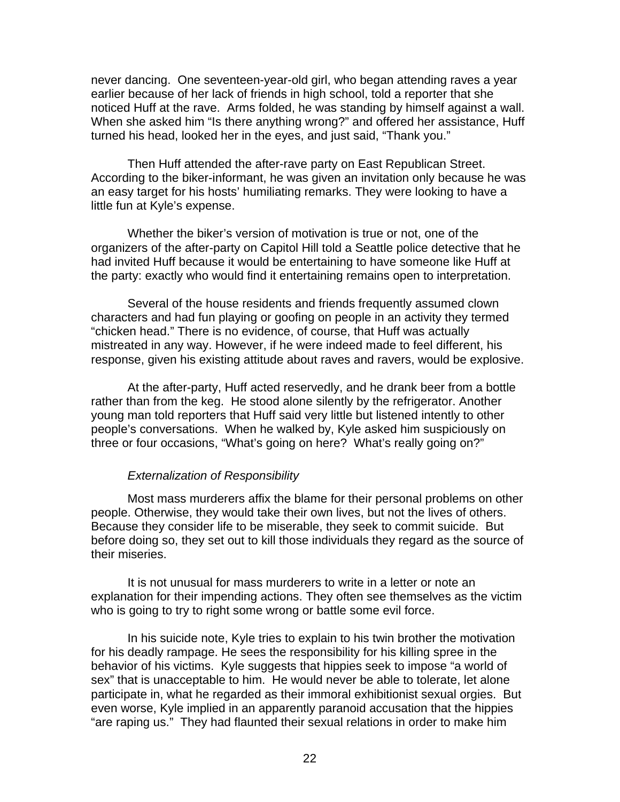never dancing. One seventeen-year-old girl, who began attending raves a year earlier because of her lack of friends in high school, told a reporter that she noticed Huff at the rave. Arms folded, he was standing by himself against a wall. When she asked him "Is there anything wrong?" and offered her assistance, Huff turned his head, looked her in the eyes, and just said, "Thank you."

 Then Huff attended the after-rave party on East Republican Street. According to the biker-informant, he was given an invitation only because he was an easy target for his hosts' humiliating remarks. They were looking to have a little fun at Kyle's expense.

 Whether the biker's version of motivation is true or not, one of the organizers of the after-party on Capitol Hill told a Seattle police detective that he had invited Huff because it would be entertaining to have someone like Huff at the party: exactly who would find it entertaining remains open to interpretation.

 Several of the house residents and friends frequently assumed clown characters and had fun playing or goofing on people in an activity they termed "chicken head." There is no evidence, of course, that Huff was actually mistreated in any way. However, if he were indeed made to feel different, his response, given his existing attitude about raves and ravers, would be explosive.

 At the after-party, Huff acted reservedly, and he drank beer from a bottle rather than from the keg. He stood alone silently by the refrigerator. Another young man told reporters that Huff said very little but listened intently to other people's conversations. When he walked by, Kyle asked him suspiciously on three or four occasions, "What's going on here? What's really going on?"

### *Externalization of Responsibility*

 Most mass murderers affix the blame for their personal problems on other people. Otherwise, they would take their own lives, but not the lives of others. Because they consider life to be miserable, they seek to commit suicide. But before doing so, they set out to kill those individuals they regard as the source of their miseries.

 It is not unusual for mass murderers to write in a letter or note an explanation for their impending actions. They often see themselves as the victim who is going to try to right some wrong or battle some evil force.

 In his suicide note, Kyle tries to explain to his twin brother the motivation for his deadly rampage. He sees the responsibility for his killing spree in the behavior of his victims. Kyle suggests that hippies seek to impose "a world of sex" that is unacceptable to him. He would never be able to tolerate, let alone participate in, what he regarded as their immoral exhibitionist sexual orgies. But even worse, Kyle implied in an apparently paranoid accusation that the hippies "are raping us." They had flaunted their sexual relations in order to make him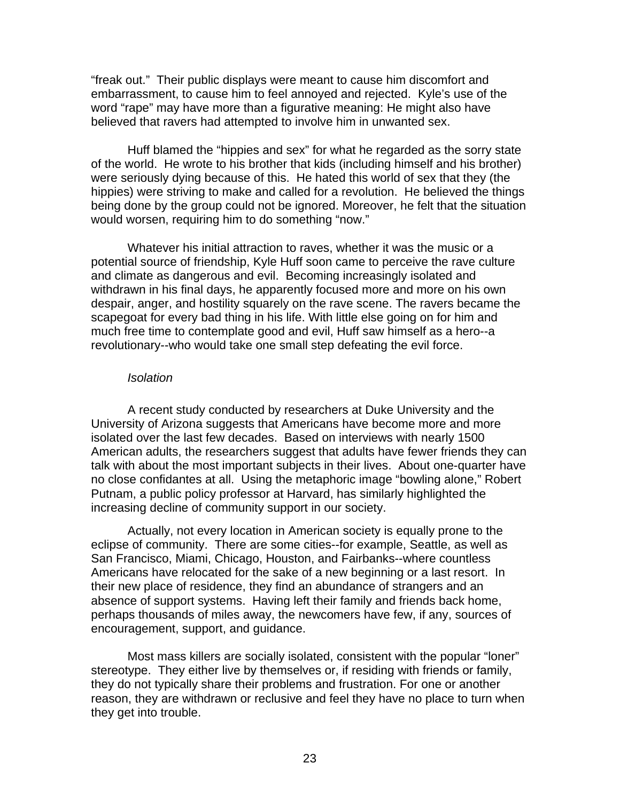"freak out." Their public displays were meant to cause him discomfort and embarrassment, to cause him to feel annoyed and rejected. Kyle's use of the word "rape" may have more than a figurative meaning: He might also have believed that ravers had attempted to involve him in unwanted sex.

 Huff blamed the "hippies and sex" for what he regarded as the sorry state of the world. He wrote to his brother that kids (including himself and his brother) were seriously dying because of this. He hated this world of sex that they (the hippies) were striving to make and called for a revolution. He believed the things being done by the group could not be ignored. Moreover, he felt that the situation would worsen, requiring him to do something "now."

 Whatever his initial attraction to raves, whether it was the music or a potential source of friendship, Kyle Huff soon came to perceive the rave culture and climate as dangerous and evil. Becoming increasingly isolated and withdrawn in his final days, he apparently focused more and more on his own despair, anger, and hostility squarely on the rave scene. The ravers became the scapegoat for every bad thing in his life. With little else going on for him and much free time to contemplate good and evil, Huff saw himself as a hero--a revolutionary--who would take one small step defeating the evil force.

#### *Isolation*

A recent study conducted by researchers at Duke University and the University of Arizona suggests that Americans have become more and more isolated over the last few decades. Based on interviews with nearly 1500 American adults, the researchers suggest that adults have fewer friends they can talk with about the most important subjects in their lives. About one-quarter have no close confidantes at all. Using the metaphoric image "bowling alone," Robert Putnam, a public policy professor at Harvard, has similarly highlighted the increasing decline of community support in our society.

 Actually, not every location in American society is equally prone to the eclipse of community. There are some cities--for example, Seattle, as well as San Francisco, Miami, Chicago, Houston, and Fairbanks--where countless Americans have relocated for the sake of a new beginning or a last resort. In their new place of residence, they find an abundance of strangers and an absence of support systems. Having left their family and friends back home, perhaps thousands of miles away, the newcomers have few, if any, sources of encouragement, support, and guidance.

 Most mass killers are socially isolated, consistent with the popular "loner" stereotype. They either live by themselves or, if residing with friends or family, they do not typically share their problems and frustration. For one or another reason, they are withdrawn or reclusive and feel they have no place to turn when they get into trouble.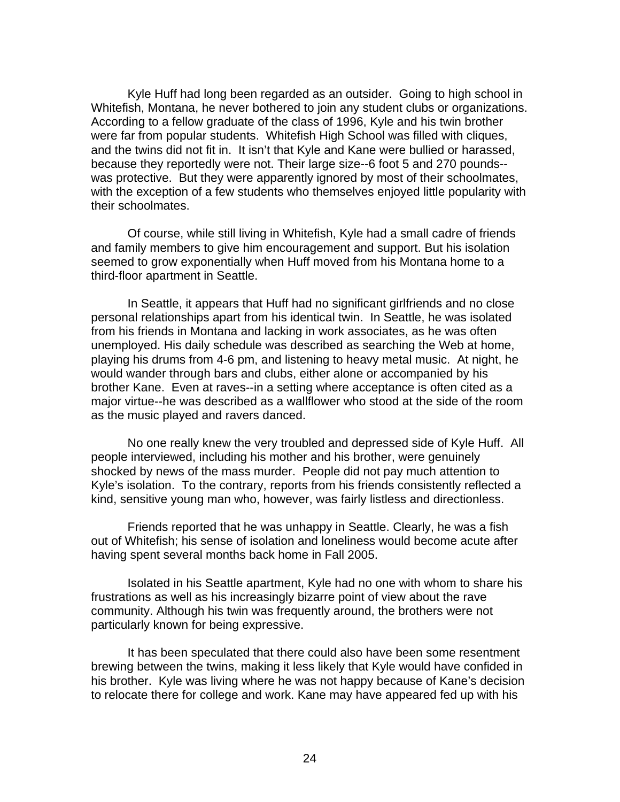Kyle Huff had long been regarded as an outsider. Going to high school in Whitefish, Montana, he never bothered to join any student clubs or organizations. According to a fellow graduate of the class of 1996, Kyle and his twin brother were far from popular students. Whitefish High School was filled with cliques, and the twins did not fit in. It isn't that Kyle and Kane were bullied or harassed, because they reportedly were not. Their large size--6 foot 5 and 270 pounds- was protective. But they were apparently ignored by most of their schoolmates, with the exception of a few students who themselves enjoyed little popularity with their schoolmates.

 Of course, while still living in Whitefish, Kyle had a small cadre of friends and family members to give him encouragement and support. But his isolation seemed to grow exponentially when Huff moved from his Montana home to a third-floor apartment in Seattle.

 In Seattle, it appears that Huff had no significant girlfriends and no close personal relationships apart from his identical twin. In Seattle, he was isolated from his friends in Montana and lacking in work associates, as he was often unemployed. His daily schedule was described as searching the Web at home, playing his drums from 4-6 pm, and listening to heavy metal music. At night, he would wander through bars and clubs, either alone or accompanied by his brother Kane. Even at raves--in a setting where acceptance is often cited as a major virtue--he was described as a wallflower who stood at the side of the room as the music played and ravers danced.

 No one really knew the very troubled and depressed side of Kyle Huff. All people interviewed, including his mother and his brother, were genuinely shocked by news of the mass murder. People did not pay much attention to Kyle's isolation. To the contrary, reports from his friends consistently reflected a kind, sensitive young man who, however, was fairly listless and directionless.

 Friends reported that he was unhappy in Seattle. Clearly, he was a fish out of Whitefish; his sense of isolation and loneliness would become acute after having spent several months back home in Fall 2005.

 Isolated in his Seattle apartment, Kyle had no one with whom to share his frustrations as well as his increasingly bizarre point of view about the rave community. Although his twin was frequently around, the brothers were not particularly known for being expressive.

 It has been speculated that there could also have been some resentment brewing between the twins, making it less likely that Kyle would have confided in his brother. Kyle was living where he was not happy because of Kane's decision to relocate there for college and work. Kane may have appeared fed up with his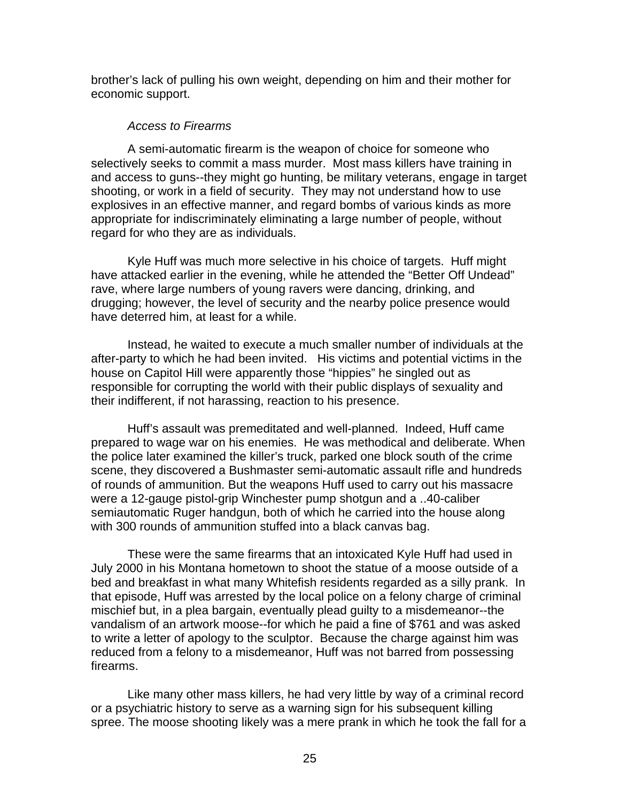brother's lack of pulling his own weight, depending on him and their mother for economic support.

### *Access to Firearms*

 A semi-automatic firearm is the weapon of choice for someone who selectively seeks to commit a mass murder. Most mass killers have training in and access to guns--they might go hunting, be military veterans, engage in target shooting, or work in a field of security. They may not understand how to use explosives in an effective manner, and regard bombs of various kinds as more appropriate for indiscriminately eliminating a large number of people, without regard for who they are as individuals.

 Kyle Huff was much more selective in his choice of targets. Huff might have attacked earlier in the evening, while he attended the "Better Off Undead" rave, where large numbers of young ravers were dancing, drinking, and drugging; however, the level of security and the nearby police presence would have deterred him, at least for a while.

 Instead, he waited to execute a much smaller number of individuals at the after-party to which he had been invited. His victims and potential victims in the house on Capitol Hill were apparently those "hippies" he singled out as responsible for corrupting the world with their public displays of sexuality and their indifferent, if not harassing, reaction to his presence.

 Huff's assault was premeditated and well-planned. Indeed, Huff came prepared to wage war on his enemies. He was methodical and deliberate. When the police later examined the killer's truck, parked one block south of the crime scene, they discovered a Bushmaster semi-automatic assault rifle and hundreds of rounds of ammunition. But the weapons Huff used to carry out his massacre were a 12-gauge pistol-grip Winchester pump shotgun and a ..40-caliber semiautomatic Ruger handgun, both of which he carried into the house along with 300 rounds of ammunition stuffed into a black canvas bag.

 These were the same firearms that an intoxicated Kyle Huff had used in July 2000 in his Montana hometown to shoot the statue of a moose outside of a bed and breakfast in what many Whitefish residents regarded as a silly prank. In that episode, Huff was arrested by the local police on a felony charge of criminal mischief but, in a plea bargain, eventually plead guilty to a misdemeanor--the vandalism of an artwork moose--for which he paid a fine of \$761 and was asked to write a letter of apology to the sculptor. Because the charge against him was reduced from a felony to a misdemeanor, Huff was not barred from possessing firearms.

 Like many other mass killers, he had very little by way of a criminal record or a psychiatric history to serve as a warning sign for his subsequent killing spree. The moose shooting likely was a mere prank in which he took the fall for a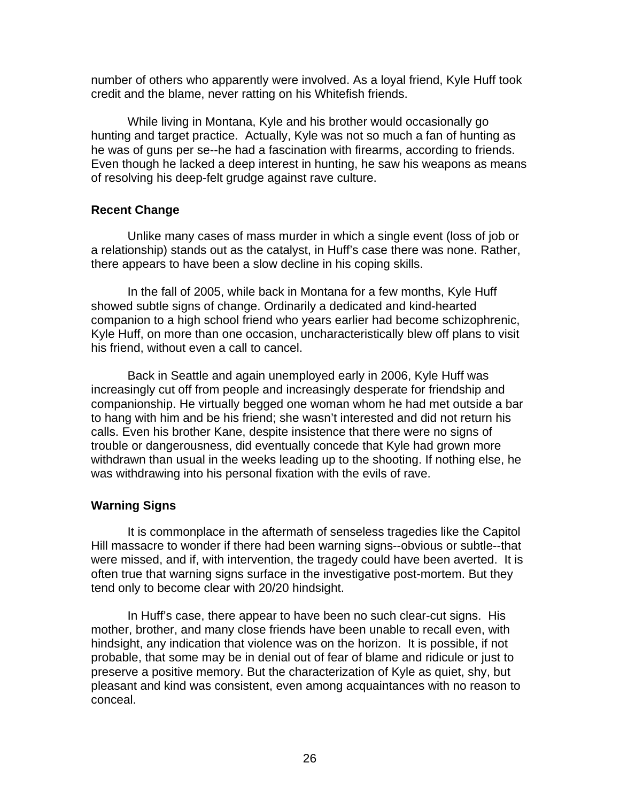number of others who apparently were involved. As a loyal friend, Kyle Huff took credit and the blame, never ratting on his Whitefish friends.

 While living in Montana, Kyle and his brother would occasionally go hunting and target practice. Actually, Kyle was not so much a fan of hunting as he was of guns per se--he had a fascination with firearms, according to friends. Even though he lacked a deep interest in hunting, he saw his weapons as means of resolving his deep-felt grudge against rave culture.

## **Recent Change**

 Unlike many cases of mass murder in which a single event (loss of job or a relationship) stands out as the catalyst, in Huff's case there was none. Rather, there appears to have been a slow decline in his coping skills.

 In the fall of 2005, while back in Montana for a few months, Kyle Huff showed subtle signs of change. Ordinarily a dedicated and kind-hearted companion to a high school friend who years earlier had become schizophrenic, Kyle Huff, on more than one occasion, uncharacteristically blew off plans to visit his friend, without even a call to cancel.

 Back in Seattle and again unemployed early in 2006, Kyle Huff was increasingly cut off from people and increasingly desperate for friendship and companionship. He virtually begged one woman whom he had met outside a bar to hang with him and be his friend; she wasn't interested and did not return his calls. Even his brother Kane, despite insistence that there were no signs of trouble or dangerousness, did eventually concede that Kyle had grown more withdrawn than usual in the weeks leading up to the shooting. If nothing else, he was withdrawing into his personal fixation with the evils of rave.

## **Warning Signs**

 It is commonplace in the aftermath of senseless tragedies like the Capitol Hill massacre to wonder if there had been warning signs--obvious or subtle--that were missed, and if, with intervention, the tragedy could have been averted. It is often true that warning signs surface in the investigative post-mortem. But they tend only to become clear with 20/20 hindsight.

 In Huff's case, there appear to have been no such clear-cut signs. His mother, brother, and many close friends have been unable to recall even, with hindsight, any indication that violence was on the horizon. It is possible, if not probable, that some may be in denial out of fear of blame and ridicule or just to preserve a positive memory. But the characterization of Kyle as quiet, shy, but pleasant and kind was consistent, even among acquaintances with no reason to conceal.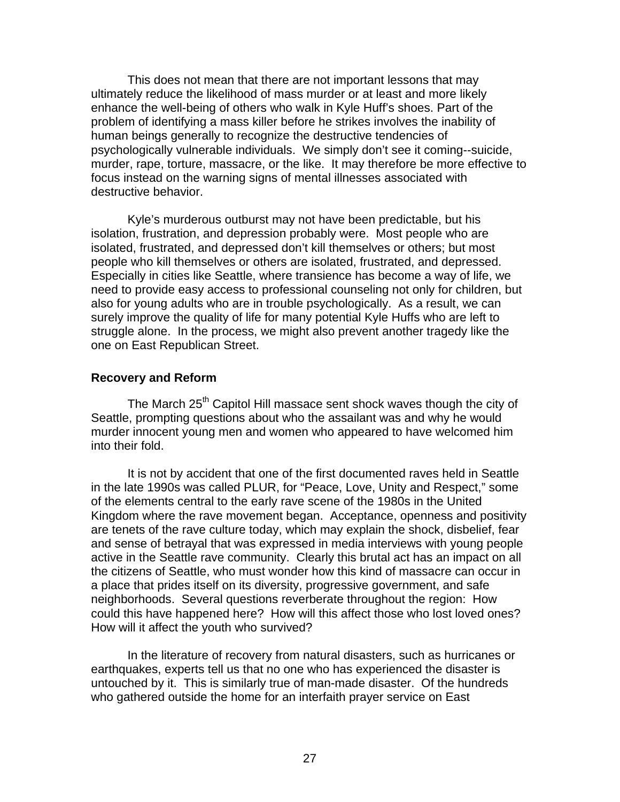This does not mean that there are not important lessons that may ultimately reduce the likelihood of mass murder or at least and more likely enhance the well-being of others who walk in Kyle Huff's shoes. Part of the problem of identifying a mass killer before he strikes involves the inability of human beings generally to recognize the destructive tendencies of psychologically vulnerable individuals. We simply don't see it coming--suicide, murder, rape, torture, massacre, or the like. It may therefore be more effective to focus instead on the warning signs of mental illnesses associated with destructive behavior.

Kyle's murderous outburst may not have been predictable, but his isolation, frustration, and depression probably were. Most people who are isolated, frustrated, and depressed don't kill themselves or others; but most people who kill themselves or others are isolated, frustrated, and depressed. Especially in cities like Seattle, where transience has become a way of life, we need to provide easy access to professional counseling not only for children, but also for young adults who are in trouble psychologically. As a result, we can surely improve the quality of life for many potential Kyle Huffs who are left to struggle alone. In the process, we might also prevent another tragedy like the one on East Republican Street.

### **Recovery and Reform**

The March 25<sup>th</sup> Capitol Hill massace sent shock waves though the city of Seattle, prompting questions about who the assailant was and why he would murder innocent young men and women who appeared to have welcomed him into their fold.

It is not by accident that one of the first documented raves held in Seattle in the late 1990s was called PLUR, for "Peace, Love, Unity and Respect," some of the elements central to the early rave scene of the 1980s in the United Kingdom where the rave movement began. Acceptance, openness and positivity are tenets of the rave culture today, which may explain the shock, disbelief, fear and sense of betrayal that was expressed in media interviews with young people active in the Seattle rave community. Clearly this brutal act has an impact on all the citizens of Seattle, who must wonder how this kind of massacre can occur in a place that prides itself on its diversity, progressive government, and safe neighborhoods. Several questions reverberate throughout the region: How could this have happened here? How will this affect those who lost loved ones? How will it affect the youth who survived?

In the literature of recovery from natural disasters, such as hurricanes or earthquakes, experts tell us that no one who has experienced the disaster is untouched by it. This is similarly true of man-made disaster. Of the hundreds who gathered outside the home for an interfaith prayer service on East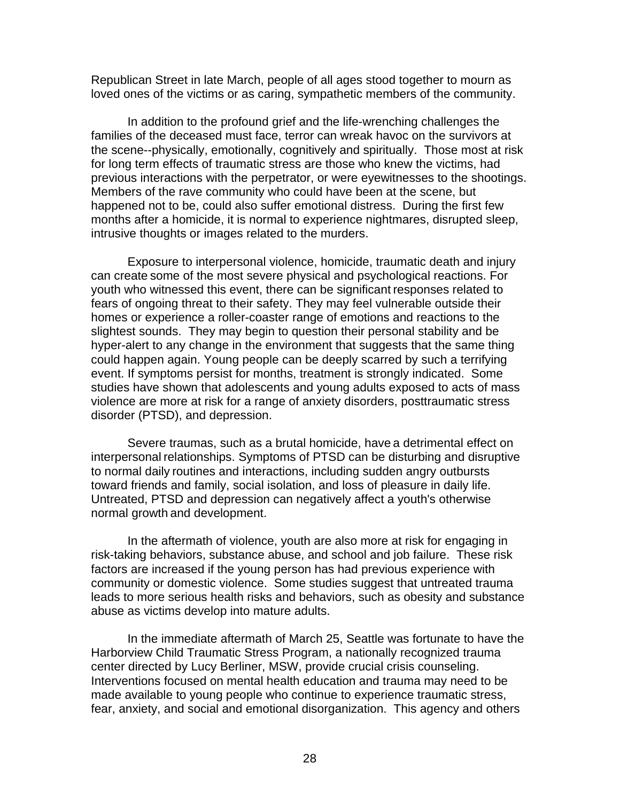Republican Street in late March, people of all ages stood together to mourn as loved ones of the victims or as caring, sympathetic members of the community.

In addition to the profound grief and the life-wrenching challenges the families of the deceased must face, terror can wreak havoc on the survivors at the scene--physically, emotionally, cognitively and spiritually. Those most at risk for long term effects of traumatic stress are those who knew the victims, had previous interactions with the perpetrator, or were eyewitnesses to the shootings. Members of the rave community who could have been at the scene, but happened not to be, could also suffer emotional distress. During the first few months after a homicide, it is normal to experience nightmares, disrupted sleep, intrusive thoughts or images related to the murders.

Exposure to interpersonal violence, homicide, traumatic death and injury can create some of the most severe physical and psychological reactions. For youth who witnessed this event, there can be significant responses related to fears of ongoing threat to their safety. They may feel vulnerable outside their homes or experience a roller-coaster range of emotions and reactions to the slightest sounds. They may begin to question their personal stability and be hyper-alert to any change in the environment that suggests that the same thing could happen again. Young people can be deeply scarred by such a terrifying event. If symptoms persist for months, treatment is strongly indicated. Some studies have shown that adolescents and young adults exposed to acts of mass violence are more at risk for a range of anxiety disorders, posttraumatic stress disorder (PTSD), and depression.

Severe traumas, such as a brutal homicide, have a detrimental effect on interpersonal relationships. Symptoms of PTSD can be disturbing and disruptive to normal daily routines and interactions, including sudden angry outbursts toward friends and family, social isolation, and loss of pleasure in daily life. Untreated, PTSD and depression can negatively affect a youth's otherwise normal growth and development.

In the aftermath of violence, youth are also more at risk for engaging in risk-taking behaviors, substance abuse, and school and job failure. These risk factors are increased if the young person has had previous experience with community or domestic violence. Some studies suggest that untreated trauma leads to more serious health risks and behaviors, such as obesity and substance abuse as victims develop into mature adults.

In the immediate aftermath of March 25, Seattle was fortunate to have the Harborview Child Traumatic Stress Program, a nationally recognized trauma center directed by Lucy Berliner, MSW, provide crucial crisis counseling. Interventions focused on mental health education and trauma may need to be made available to young people who continue to experience traumatic stress, fear, anxiety, and social and emotional disorganization. This agency and others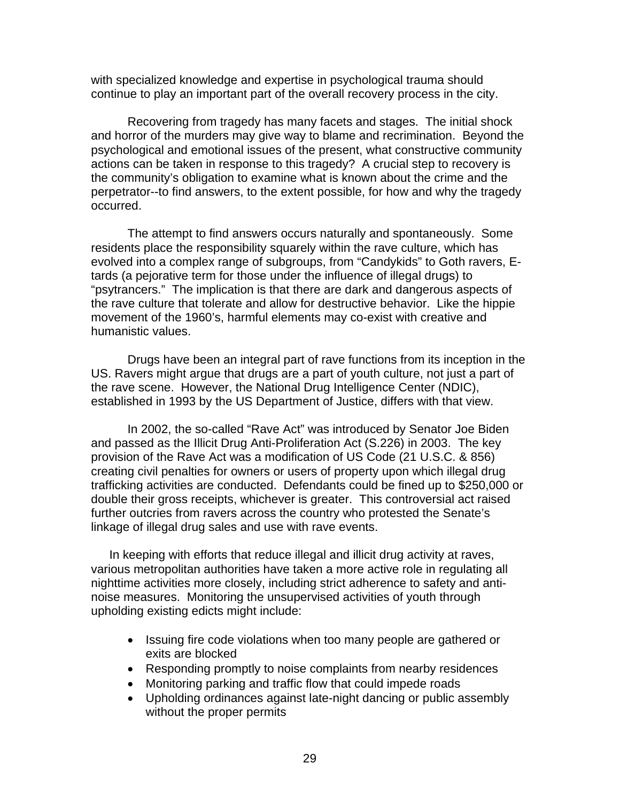with specialized knowledge and expertise in psychological trauma should continue to play an important part of the overall recovery process in the city.

Recovering from tragedy has many facets and stages. The initial shock and horror of the murders may give way to blame and recrimination. Beyond the psychological and emotional issues of the present, what constructive community actions can be taken in response to this tragedy? A crucial step to recovery is the community's obligation to examine what is known about the crime and the perpetrator--to find answers, to the extent possible, for how and why the tragedy occurred.

The attempt to find answers occurs naturally and spontaneously. Some residents place the responsibility squarely within the rave culture, which has evolved into a complex range of subgroups, from "Candykids" to Goth ravers, Etards (a pejorative term for those under the influence of illegal drugs) to "psytrancers." The implication is that there are dark and dangerous aspects of the rave culture that tolerate and allow for destructive behavior. Like the hippie movement of the 1960's, harmful elements may co-exist with creative and humanistic values.

Drugs have been an integral part of rave functions from its inception in the US. Ravers might argue that drugs are a part of youth culture, not just a part of the rave scene. However, the National Drug Intelligence Center (NDIC), established in 1993 by the US Department of Justice, differs with that view.

In 2002, the so-called "Rave Act" was introduced by Senator Joe Biden and passed as the Illicit Drug Anti-Proliferation Act (S.226) in 2003. The key provision of the Rave Act was a modification of US Code (21 U.S.C. & 856) creating civil penalties for owners or users of property upon which illegal drug trafficking activities are conducted. Defendants could be fined up to \$250,000 or double their gross receipts, whichever is greater. This controversial act raised further outcries from ravers across the country who protested the Senate's linkage of illegal drug sales and use with rave events.

In keeping with efforts that reduce illegal and illicit drug activity at raves, various metropolitan authorities have taken a more active role in regulating all nighttime activities more closely, including strict adherence to safety and antinoise measures. Monitoring the unsupervised activities of youth through upholding existing edicts might include:

- Issuing fire code violations when too many people are gathered or exits are blocked
- Responding promptly to noise complaints from nearby residences
- Monitoring parking and traffic flow that could impede roads
- Upholding ordinances against late-night dancing or public assembly without the proper permits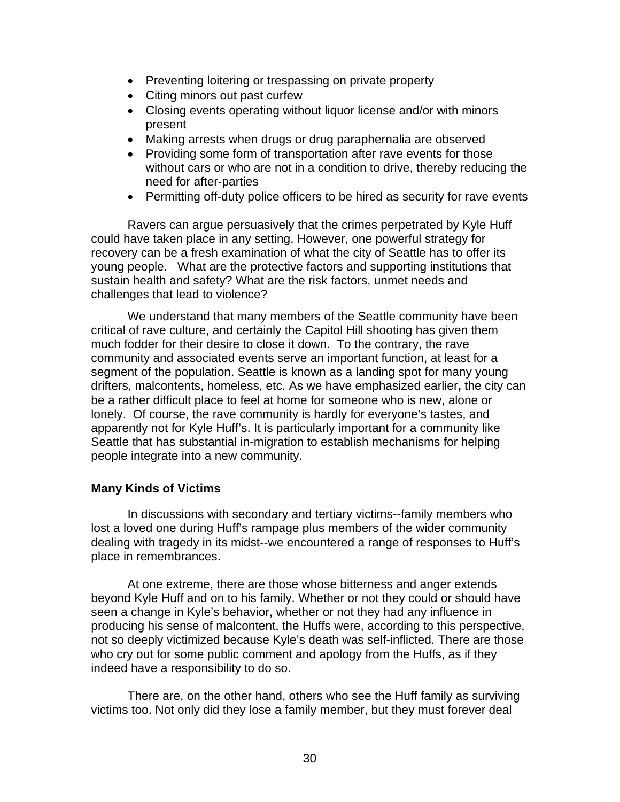- Preventing loitering or trespassing on private property
- Citing minors out past curfew
- Closing events operating without liquor license and/or with minors present
- Making arrests when drugs or drug paraphernalia are observed
- Providing some form of transportation after rave events for those without cars or who are not in a condition to drive, thereby reducing the need for after-parties
- Permitting off-duty police officers to be hired as security for rave events

Ravers can argue persuasively that the crimes perpetrated by Kyle Huff could have taken place in any setting. However, one powerful strategy for recovery can be a fresh examination of what the city of Seattle has to offer its young people. What are the protective factors and supporting institutions that sustain health and safety? What are the risk factors, unmet needs and challenges that lead to violence?

We understand that many members of the Seattle community have been critical of rave culture, and certainly the Capitol Hill shooting has given them much fodder for their desire to close it down. To the contrary, the rave community and associated events serve an important function, at least for a segment of the population. Seattle is known as a landing spot for many young drifters, malcontents, homeless, etc. As we have emphasized earlier**,** the city can be a rather difficult place to feel at home for someone who is new, alone or lonely. Of course, the rave community is hardly for everyone's tastes, and apparently not for Kyle Huff's. It is particularly important for a community like Seattle that has substantial in-migration to establish mechanisms for helping people integrate into a new community.

## **Many Kinds of Victims**

 In discussions with secondary and tertiary victims--family members who lost a loved one during Huff's rampage plus members of the wider community dealing with tragedy in its midst--we encountered a range of responses to Huff's place in remembrances.

 At one extreme, there are those whose bitterness and anger extends beyond Kyle Huff and on to his family. Whether or not they could or should have seen a change in Kyle's behavior, whether or not they had any influence in producing his sense of malcontent, the Huffs were, according to this perspective, not so deeply victimized because Kyle's death was self-inflicted. There are those who cry out for some public comment and apology from the Huffs, as if they indeed have a responsibility to do so.

 There are, on the other hand, others who see the Huff family as surviving victims too. Not only did they lose a family member, but they must forever deal